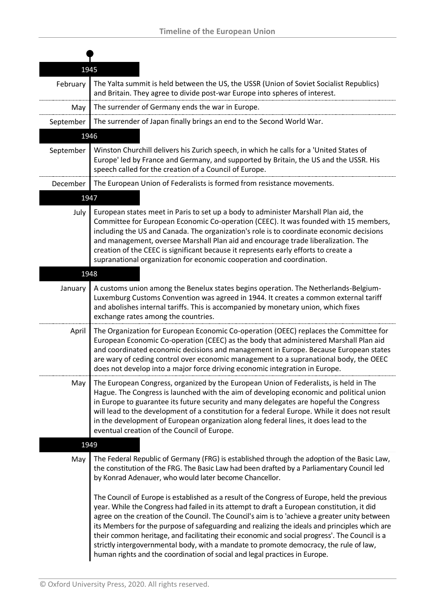|           | 1945                                                                                                                                                                                                                                                                                                                                                                                                                                                                                                                                                                                                                                                                     |
|-----------|--------------------------------------------------------------------------------------------------------------------------------------------------------------------------------------------------------------------------------------------------------------------------------------------------------------------------------------------------------------------------------------------------------------------------------------------------------------------------------------------------------------------------------------------------------------------------------------------------------------------------------------------------------------------------|
| February  | The Yalta summit is held between the US, the USSR (Union of Soviet Socialist Republics)<br>and Britain. They agree to divide post-war Europe into spheres of interest.                                                                                                                                                                                                                                                                                                                                                                                                                                                                                                   |
| May       | The surrender of Germany ends the war in Europe.                                                                                                                                                                                                                                                                                                                                                                                                                                                                                                                                                                                                                         |
| September | The surrender of Japan finally brings an end to the Second World War.                                                                                                                                                                                                                                                                                                                                                                                                                                                                                                                                                                                                    |
|           | 1946                                                                                                                                                                                                                                                                                                                                                                                                                                                                                                                                                                                                                                                                     |
| September | Winston Churchill delivers his Zurich speech, in which he calls for a 'United States of<br>Europe' led by France and Germany, and supported by Britain, the US and the USSR. His<br>speech called for the creation of a Council of Europe.                                                                                                                                                                                                                                                                                                                                                                                                                               |
| December  | The European Union of Federalists is formed from resistance movements.                                                                                                                                                                                                                                                                                                                                                                                                                                                                                                                                                                                                   |
|           | 1947                                                                                                                                                                                                                                                                                                                                                                                                                                                                                                                                                                                                                                                                     |
| July      | European states meet in Paris to set up a body to administer Marshall Plan aid, the<br>Committee for European Economic Co-operation (CEEC). It was founded with 15 members,<br>including the US and Canada. The organization's role is to coordinate economic decisions<br>and management, oversee Marshall Plan aid and encourage trade liberalization. The<br>creation of the CEEC is significant because it represents early efforts to create a<br>supranational organization for economic cooperation and coordination.                                                                                                                                             |
|           | 1948                                                                                                                                                                                                                                                                                                                                                                                                                                                                                                                                                                                                                                                                     |
| January   | A customs union among the Benelux states begins operation. The Netherlands-Belgium-<br>Luxemburg Customs Convention was agreed in 1944. It creates a common external tariff<br>and abolishes internal tariffs. This is accompanied by monetary union, which fixes<br>exchange rates among the countries.                                                                                                                                                                                                                                                                                                                                                                 |
| April     | The Organization for European Economic Co-operation (OEEC) replaces the Committee for<br>European Economic Co-operation (CEEC) as the body that administered Marshall Plan aid<br>and coordinated economic decisions and management in Europe. Because European states<br>are wary of ceding control over economic management to a supranational body, the OEEC<br>does not develop into a major force driving economic integration in Europe.                                                                                                                                                                                                                           |
| May       | The European Congress, organized by the European Union of Federalists, is held in The<br>Hague. The Congress is launched with the aim of developing economic and political union<br>in Europe to guarantee its future security and many delegates are hopeful the Congress<br>will lead to the development of a constitution for a federal Europe. While it does not result<br>in the development of European organization along federal lines, it does lead to the<br>eventual creation of the Council of Europe.                                                                                                                                                       |
|           | 1949                                                                                                                                                                                                                                                                                                                                                                                                                                                                                                                                                                                                                                                                     |
| May       | The Federal Republic of Germany (FRG) is established through the adoption of the Basic Law,<br>the constitution of the FRG. The Basic Law had been drafted by a Parliamentary Council led<br>by Konrad Adenauer, who would later become Chancellor.                                                                                                                                                                                                                                                                                                                                                                                                                      |
|           | The Council of Europe is established as a result of the Congress of Europe, held the previous<br>year. While the Congress had failed in its attempt to draft a European constitution, it did<br>agree on the creation of the Council. The Council's aim is to 'achieve a greater unity between<br>its Members for the purpose of safeguarding and realizing the ideals and principles which are<br>their common heritage, and facilitating their economic and social progress'. The Council is a<br>strictly intergovernmental body, with a mandate to promote democracy, the rule of law,<br>human rights and the coordination of social and legal practices in Europe. |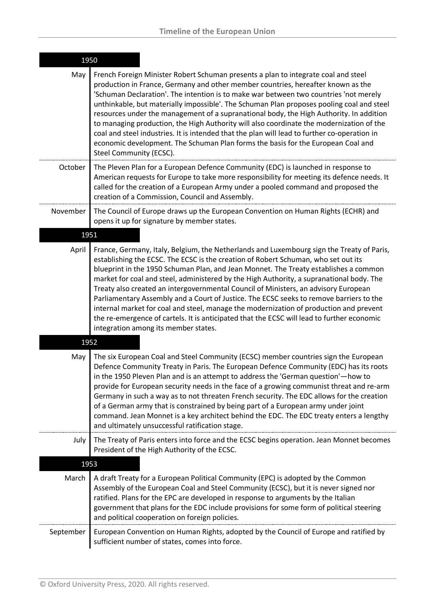| 1950      |                                                                                                                                                                                                                                                                                                                                                                                                                                                                                                                                                                                                                                                                                                                                                                                       |  |
|-----------|---------------------------------------------------------------------------------------------------------------------------------------------------------------------------------------------------------------------------------------------------------------------------------------------------------------------------------------------------------------------------------------------------------------------------------------------------------------------------------------------------------------------------------------------------------------------------------------------------------------------------------------------------------------------------------------------------------------------------------------------------------------------------------------|--|
| May       | French Foreign Minister Robert Schuman presents a plan to integrate coal and steel<br>production in France, Germany and other member countries, hereafter known as the<br>'Schuman Declaration'. The intention is to make war between two countries 'not merely<br>unthinkable, but materially impossible'. The Schuman Plan proposes pooling coal and steel<br>resources under the management of a supranational body, the High Authority. In addition<br>to managing production, the High Authority will also coordinate the modernization of the<br>coal and steel industries. It is intended that the plan will lead to further co-operation in<br>economic development. The Schuman Plan forms the basis for the European Coal and<br>Steel Community (ECSC).                    |  |
| October   | The Pleven Plan for a European Defence Community (EDC) is launched in response to<br>American requests for Europe to take more responsibility for meeting its defence needs. It<br>called for the creation of a European Army under a pooled command and proposed the<br>creation of a Commission, Council and Assembly.                                                                                                                                                                                                                                                                                                                                                                                                                                                              |  |
| November  | The Council of Europe draws up the European Convention on Human Rights (ECHR) and<br>opens it up for signature by member states.                                                                                                                                                                                                                                                                                                                                                                                                                                                                                                                                                                                                                                                      |  |
| 1951      |                                                                                                                                                                                                                                                                                                                                                                                                                                                                                                                                                                                                                                                                                                                                                                                       |  |
| April     | France, Germany, Italy, Belgium, the Netherlands and Luxembourg sign the Treaty of Paris,<br>establishing the ECSC. The ECSC is the creation of Robert Schuman, who set out its<br>blueprint in the 1950 Schuman Plan, and Jean Monnet. The Treaty establishes a common<br>market for coal and steel, administered by the High Authority, a supranational body. The<br>Treaty also created an intergovernmental Council of Ministers, an advisory European<br>Parliamentary Assembly and a Court of Justice. The ECSC seeks to remove barriers to the<br>internal market for coal and steel, manage the modernization of production and prevent<br>the re-emergence of cartels. It is anticipated that the ECSC will lead to further economic<br>integration among its member states. |  |
| 1952      |                                                                                                                                                                                                                                                                                                                                                                                                                                                                                                                                                                                                                                                                                                                                                                                       |  |
| May       | The six European Coal and Steel Community (ECSC) member countries sign the European<br>Defence Community Treaty in Paris. The European Defence Community (EDC) has its roots<br>in the 1950 Pleven Plan and is an attempt to address the 'German question'-how to<br>provide for European security needs in the face of a growing communist threat and re-arm<br>Germany in such a way as to not threaten French security. The EDC allows for the creation<br>of a German army that is constrained by being part of a European army under joint<br>command. Jean Monnet is a key architect behind the EDC. The EDC treaty enters a lengthy<br>and ultimately unsuccessful ratification stage.                                                                                         |  |
| July      | The Treaty of Paris enters into force and the ECSC begins operation. Jean Monnet becomes<br>President of the High Authority of the ECSC.                                                                                                                                                                                                                                                                                                                                                                                                                                                                                                                                                                                                                                              |  |
|           | 1953                                                                                                                                                                                                                                                                                                                                                                                                                                                                                                                                                                                                                                                                                                                                                                                  |  |
| March     | A draft Treaty for a European Political Community (EPC) is adopted by the Common<br>Assembly of the European Coal and Steel Community (ECSC), but it is never signed nor<br>ratified. Plans for the EPC are developed in response to arguments by the Italian<br>government that plans for the EDC include provisions for some form of political steering<br>and political cooperation on foreign policies.                                                                                                                                                                                                                                                                                                                                                                           |  |
| September | European Convention on Human Rights, adopted by the Council of Europe and ratified by<br>sufficient number of states, comes into force.                                                                                                                                                                                                                                                                                                                                                                                                                                                                                                                                                                                                                                               |  |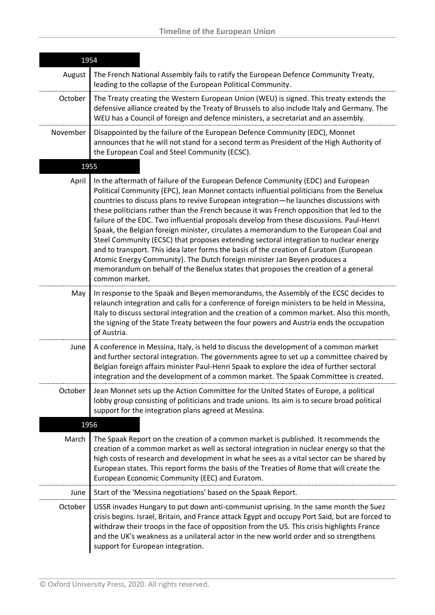| 1954     |                                                                                                                                                                                                                                                                                                                                                                                                                                                                                                                                                                                                                                                                                                                                                                                                                                                                                                                                  |
|----------|----------------------------------------------------------------------------------------------------------------------------------------------------------------------------------------------------------------------------------------------------------------------------------------------------------------------------------------------------------------------------------------------------------------------------------------------------------------------------------------------------------------------------------------------------------------------------------------------------------------------------------------------------------------------------------------------------------------------------------------------------------------------------------------------------------------------------------------------------------------------------------------------------------------------------------|
| August   | The French National Assembly fails to ratify the European Defence Community Treaty,<br>leading to the collapse of the European Political Community.                                                                                                                                                                                                                                                                                                                                                                                                                                                                                                                                                                                                                                                                                                                                                                              |
| October  | The Treaty creating the Western European Union (WEU) is signed. This treaty extends the<br>defensive alliance created by the Treaty of Brussels to also include Italy and Germany. The<br>WEU has a Council of foreign and defence ministers, a secretariat and an assembly.                                                                                                                                                                                                                                                                                                                                                                                                                                                                                                                                                                                                                                                     |
| November | Disappointed by the failure of the European Defence Community (EDC), Monnet<br>announces that he will not stand for a second term as President of the High Authority of<br>the European Coal and Steel Community (ECSC).                                                                                                                                                                                                                                                                                                                                                                                                                                                                                                                                                                                                                                                                                                         |
| 1955     |                                                                                                                                                                                                                                                                                                                                                                                                                                                                                                                                                                                                                                                                                                                                                                                                                                                                                                                                  |
| April    | In the aftermath of failure of the European Defence Community (EDC) and European<br>Political Community (EPC), Jean Monnet contacts influential politicians from the Benelux<br>countries to discuss plans to revive European integration—he launches discussions with<br>these politicians rather than the French because it was French opposition that led to the<br>failure of the EDC. Two influential proposals develop from these discussions. Paul-Henri<br>Spaak, the Belgian foreign minister, circulates a memorandum to the European Coal and<br>Steel Community (ECSC) that proposes extending sectoral integration to nuclear energy<br>and to transport. This idea later forms the basis of the creation of Euratom (European<br>Atomic Energy Community). The Dutch foreign minister Jan Beyen produces a<br>memorandum on behalf of the Benelux states that proposes the creation of a general<br>common market. |
| May      | In response to the Spaak and Beyen memorandums, the Assembly of the ECSC decides to<br>relaunch integration and calls for a conference of foreign ministers to be held in Messina,<br>Italy to discuss sectoral integration and the creation of a common market. Also this month,<br>the signing of the State Treaty between the four powers and Austria ends the occupation<br>of Austria.                                                                                                                                                                                                                                                                                                                                                                                                                                                                                                                                      |
| June     | A conference in Messina, Italy, is held to discuss the development of a common market<br>and further sectoral integration. The governments agree to set up a committee chaired by<br>Belgian foreign affairs minister Paul-Henri Spaak to explore the idea of further sectoral<br>integration and the development of a common market. The Spaak Committee is created.                                                                                                                                                                                                                                                                                                                                                                                                                                                                                                                                                            |
| October  | Jean Monnet sets up the Action Committee for the United States of Europe, a political<br>lobby group consisting of politicians and trade unions. Its aim is to secure broad political<br>support for the integration plans agreed at Messina.                                                                                                                                                                                                                                                                                                                                                                                                                                                                                                                                                                                                                                                                                    |
| 1956     |                                                                                                                                                                                                                                                                                                                                                                                                                                                                                                                                                                                                                                                                                                                                                                                                                                                                                                                                  |
| March    | The Spaak Report on the creation of a common market is published. It recommends the<br>creation of a common market as well as sectoral integration in nuclear energy so that the<br>high costs of research and development in what he sees as a vital sector can be shared by<br>European states. This report forms the basis of the Treaties of Rome that will create the<br>European Economic Community (EEC) and Euratom.                                                                                                                                                                                                                                                                                                                                                                                                                                                                                                     |
| June     | Start of the 'Messina negotiations' based on the Spaak Report.                                                                                                                                                                                                                                                                                                                                                                                                                                                                                                                                                                                                                                                                                                                                                                                                                                                                   |
| October  | USSR invades Hungary to put down anti-communist uprising. In the same month the Suez<br>crisis begins. Israel, Britain, and France attack Egypt and occupy Port Said, but are forced to<br>withdraw their troops in the face of opposition from the US. This crisis highlights France<br>and the UK's weakness as a unilateral actor in the new world order and so strengthens<br>support for European integration.                                                                                                                                                                                                                                                                                                                                                                                                                                                                                                              |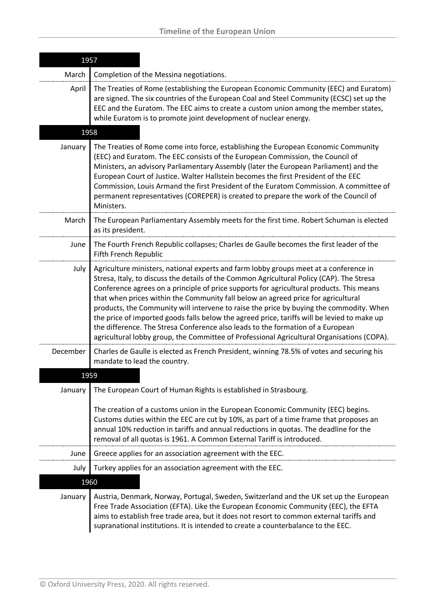| 1957     |                                                                                                                                                                                                                                                                                                                                                                                                                                                                                                                                                                                                                                                                                                                                                |
|----------|------------------------------------------------------------------------------------------------------------------------------------------------------------------------------------------------------------------------------------------------------------------------------------------------------------------------------------------------------------------------------------------------------------------------------------------------------------------------------------------------------------------------------------------------------------------------------------------------------------------------------------------------------------------------------------------------------------------------------------------------|
| March    | Completion of the Messina negotiations.                                                                                                                                                                                                                                                                                                                                                                                                                                                                                                                                                                                                                                                                                                        |
| April    | The Treaties of Rome (establishing the European Economic Community (EEC) and Euratom)<br>are signed. The six countries of the European Coal and Steel Community (ECSC) set up the<br>EEC and the Euratom. The EEC aims to create a custom union among the member states,<br>while Euratom is to promote joint development of nuclear energy.                                                                                                                                                                                                                                                                                                                                                                                                   |
| 1958     |                                                                                                                                                                                                                                                                                                                                                                                                                                                                                                                                                                                                                                                                                                                                                |
| January  | The Treaties of Rome come into force, establishing the European Economic Community<br>(EEC) and Euratom. The EEC consists of the European Commission, the Council of<br>Ministers, an advisory Parliamentary Assembly (later the European Parliament) and the<br>European Court of Justice. Walter Hallstein becomes the first President of the EEC<br>Commission, Louis Armand the first President of the Euratom Commission. A committee of<br>permanent representatives (COREPER) is created to prepare the work of the Council of<br>Ministers.                                                                                                                                                                                            |
| March    | The European Parliamentary Assembly meets for the first time. Robert Schuman is elected<br>as its president.                                                                                                                                                                                                                                                                                                                                                                                                                                                                                                                                                                                                                                   |
| June     | The Fourth French Republic collapses; Charles de Gaulle becomes the first leader of the<br>Fifth French Republic                                                                                                                                                                                                                                                                                                                                                                                                                                                                                                                                                                                                                               |
| July     | Agriculture ministers, national experts and farm lobby groups meet at a conference in<br>Stresa, Italy, to discuss the details of the Common Agricultural Policy (CAP). The Stresa<br>Conference agrees on a principle of price supports for agricultural products. This means<br>that when prices within the Community fall below an agreed price for agricultural<br>products, the Community will intervene to raise the price by buying the commodity. When<br>the price of imported goods falls below the agreed price, tariffs will be levied to make up<br>the difference. The Stresa Conference also leads to the formation of a European<br>agricultural lobby group, the Committee of Professional Agricultural Organisations (COPA). |
| December | Charles de Gaulle is elected as French President, winning 78.5% of votes and securing his<br>mandate to lead the country.                                                                                                                                                                                                                                                                                                                                                                                                                                                                                                                                                                                                                      |
| 1959     |                                                                                                                                                                                                                                                                                                                                                                                                                                                                                                                                                                                                                                                                                                                                                |
| January  | The European Court of Human Rights is established in Strasbourg.<br>The creation of a customs union in the European Economic Community (EEC) begins.<br>Customs duties within the EEC are cut by 10%, as part of a time frame that proposes an<br>annual 10% reduction in tariffs and annual reductions in quotas. The deadline for the<br>removal of all quotas is 1961. A Common External Tariff is introduced.                                                                                                                                                                                                                                                                                                                              |
| June     | Greece applies for an association agreement with the EEC.                                                                                                                                                                                                                                                                                                                                                                                                                                                                                                                                                                                                                                                                                      |
| July     | Turkey applies for an association agreement with the EEC.                                                                                                                                                                                                                                                                                                                                                                                                                                                                                                                                                                                                                                                                                      |
| 1960     |                                                                                                                                                                                                                                                                                                                                                                                                                                                                                                                                                                                                                                                                                                                                                |
| January  | Austria, Denmark, Norway, Portugal, Sweden, Switzerland and the UK set up the European<br>Free Trade Association (EFTA). Like the European Economic Community (EEC), the EFTA<br>aims to establish free trade area, but it does not resort to common external tariffs and<br>supranational institutions. It is intended to create a counterbalance to the EEC.                                                                                                                                                                                                                                                                                                                                                                                 |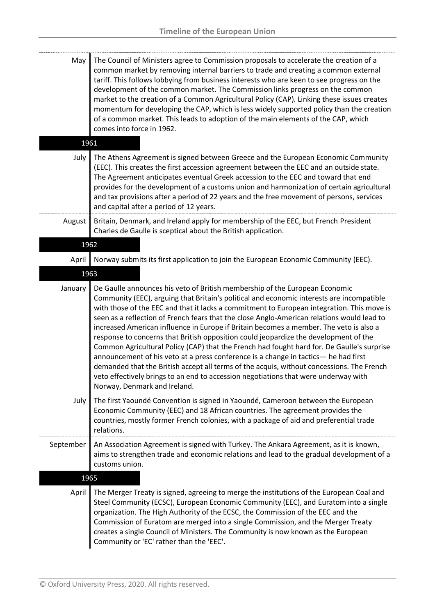| May    | The Council of Ministers agree to Commission proposals to accelerate the creation of a<br>common market by removing internal barriers to trade and creating a common external<br>tariff. This follows lobbying from business interests who are keen to see progress on the<br>development of the common market. The Commission links progress on the common<br>market to the creation of a Common Agricultural Policy (CAP). Linking these issues creates<br>momentum for developing the CAP, which is less widely supported policy than the creation<br>of a common market. This leads to adoption of the main elements of the CAP, which<br>comes into force in 1962. |
|--------|-------------------------------------------------------------------------------------------------------------------------------------------------------------------------------------------------------------------------------------------------------------------------------------------------------------------------------------------------------------------------------------------------------------------------------------------------------------------------------------------------------------------------------------------------------------------------------------------------------------------------------------------------------------------------|
| 1961   |                                                                                                                                                                                                                                                                                                                                                                                                                                                                                                                                                                                                                                                                         |
| July   | The Athens Agreement is signed between Greece and the European Economic Community<br>(EEC). This creates the first accession agreement between the EEC and an outside state.<br>The Agreement anticipates eventual Greek accession to the EEC and toward that end<br>provides for the development of a customs union and harmonization of certain agricultural<br>and tax provisions after a period of 22 years and the free movement of persons, services<br>and capital after a period of 12 years.                                                                                                                                                                   |
| August | Britain, Denmark, and Ireland apply for membership of the EEC, but French President<br>Charles de Gaulle is sceptical about the British application.                                                                                                                                                                                                                                                                                                                                                                                                                                                                                                                    |

## 1962

April | Norway submits its first application to join the European Economic Community (EEC).

## 1963

| January   | De Gaulle announces his veto of British membership of the European Economic<br>Community (EEC), arguing that Britain's political and economic interests are incompatible<br>with those of the EEC and that it lacks a commitment to European integration. This move is<br>seen as a reflection of French fears that the close Anglo-American relations would lead to<br>increased American influence in Europe if Britain becomes a member. The veto is also a<br>response to concerns that British opposition could jeopardize the development of the<br>Common Agricultural Policy (CAP) that the French had fought hard for. De Gaulle's surprise<br>announcement of his veto at a press conference is a change in tactics— he had first<br>demanded that the British accept all terms of the acquis, without concessions. The French<br>veto effectively brings to an end to accession negotiations that were underway with<br>Norway, Denmark and Ireland. |
|-----------|-----------------------------------------------------------------------------------------------------------------------------------------------------------------------------------------------------------------------------------------------------------------------------------------------------------------------------------------------------------------------------------------------------------------------------------------------------------------------------------------------------------------------------------------------------------------------------------------------------------------------------------------------------------------------------------------------------------------------------------------------------------------------------------------------------------------------------------------------------------------------------------------------------------------------------------------------------------------|
| July      | The first Yaoundé Convention is signed in Yaoundé, Cameroon between the European<br>Economic Community (EEC) and 18 African countries. The agreement provides the<br>countries, mostly former French colonies, with a package of aid and preferential trade<br>relations.                                                                                                                                                                                                                                                                                                                                                                                                                                                                                                                                                                                                                                                                                       |
| September | An Association Agreement is signed with Turkey. The Ankara Agreement, as it is known,<br>aims to strengthen trade and economic relations and lead to the gradual development of a<br>customs union.                                                                                                                                                                                                                                                                                                                                                                                                                                                                                                                                                                                                                                                                                                                                                             |

1965

April | The Merger Treaty is signed, agreeing to merge the institutions of the European Coal and Steel Community (ECSC), European Economic Community (EEC), and Euratom into a single organization. The High Authority of the ECSC, the Commission of the EEC and the Commission of Euratom are merged into a single Commission, and the Merger Treaty creates a single Council of Ministers. The Community is now known as the European Community or 'EC' rather than the 'EEC'.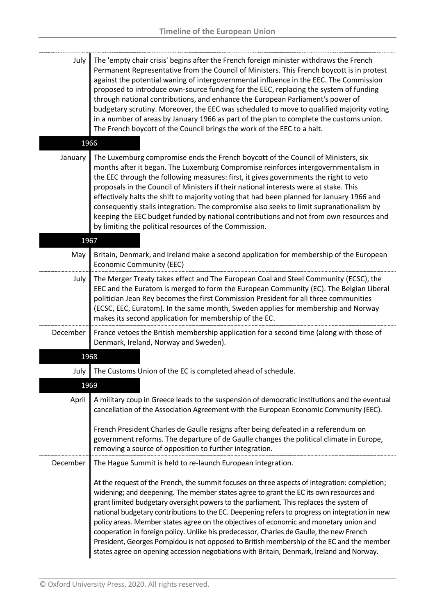| July     | The 'empty chair crisis' begins after the French foreign minister withdraws the French<br>Permanent Representative from the Council of Ministers. This French boycott is in protest<br>against the potential waning of intergovernmental influence in the EEC. The Commission<br>proposed to introduce own-source funding for the EEC, replacing the system of funding<br>through national contributions, and enhance the European Parliament's power of<br>budgetary scrutiny. Moreover, the EEC was scheduled to move to qualified majority voting<br>in a number of areas by January 1966 as part of the plan to complete the customs union.<br>The French boycott of the Council brings the work of the EEC to a halt.                                           |
|----------|----------------------------------------------------------------------------------------------------------------------------------------------------------------------------------------------------------------------------------------------------------------------------------------------------------------------------------------------------------------------------------------------------------------------------------------------------------------------------------------------------------------------------------------------------------------------------------------------------------------------------------------------------------------------------------------------------------------------------------------------------------------------|
| 1966     |                                                                                                                                                                                                                                                                                                                                                                                                                                                                                                                                                                                                                                                                                                                                                                      |
| January  | The Luxemburg compromise ends the French boycott of the Council of Ministers, six<br>months after it began. The Luxemburg Compromise reinforces intergovernmentalism in<br>the EEC through the following measures: first, it gives governments the right to veto<br>proposals in the Council of Ministers if their national interests were at stake. This<br>effectively halts the shift to majority voting that had been planned for January 1966 and<br>consequently stalls integration. The compromise also seeks to limit supranationalism by<br>keeping the EEC budget funded by national contributions and not from own resources and<br>by limiting the political resources of the Commission.                                                                |
| 1967     |                                                                                                                                                                                                                                                                                                                                                                                                                                                                                                                                                                                                                                                                                                                                                                      |
| May      | Britain, Denmark, and Ireland make a second application for membership of the European<br><b>Economic Community (EEC)</b>                                                                                                                                                                                                                                                                                                                                                                                                                                                                                                                                                                                                                                            |
| July     | The Merger Treaty takes effect and The European Coal and Steel Community (ECSC), the<br>EEC and the Euratom is merged to form the European Community (EC). The Belgian Liberal<br>politician Jean Rey becomes the first Commission President for all three communities<br>(ECSC, EEC, Euratom). In the same month, Sweden applies for membership and Norway<br>makes its second application for membership of the EC.                                                                                                                                                                                                                                                                                                                                                |
| December | France vetoes the British membership application for a second time (along with those of<br>Denmark, Ireland, Norway and Sweden).                                                                                                                                                                                                                                                                                                                                                                                                                                                                                                                                                                                                                                     |
| 1968     |                                                                                                                                                                                                                                                                                                                                                                                                                                                                                                                                                                                                                                                                                                                                                                      |
| July     | The Customs Union of the EC is completed ahead of schedule.                                                                                                                                                                                                                                                                                                                                                                                                                                                                                                                                                                                                                                                                                                          |
| 1969     |                                                                                                                                                                                                                                                                                                                                                                                                                                                                                                                                                                                                                                                                                                                                                                      |
| April    | A military coup in Greece leads to the suspension of democratic institutions and the eventual<br>cancellation of the Association Agreement with the European Economic Community (EEC).                                                                                                                                                                                                                                                                                                                                                                                                                                                                                                                                                                               |
|          | French President Charles de Gaulle resigns after being defeated in a referendum on<br>government reforms. The departure of de Gaulle changes the political climate in Europe,<br>removing a source of opposition to further integration.                                                                                                                                                                                                                                                                                                                                                                                                                                                                                                                             |
| December | The Hague Summit is held to re-launch European integration.                                                                                                                                                                                                                                                                                                                                                                                                                                                                                                                                                                                                                                                                                                          |
|          | At the request of the French, the summit focuses on three aspects of integration: completion;<br>widening; and deepening. The member states agree to grant the EC its own resources and<br>grant limited budgetary oversight powers to the parliament. This replaces the system of<br>national budgetary contributions to the EC. Deepening refers to progress on integration in new<br>policy areas. Member states agree on the objectives of economic and monetary union and<br>cooperation in foreign policy. Unlike his predecessor, Charles de Gaulle, the new French<br>President, Georges Pompidou is not opposed to British membership of the EC and the member<br>states agree on opening accession negotiations with Britain, Denmark, Ireland and Norway. |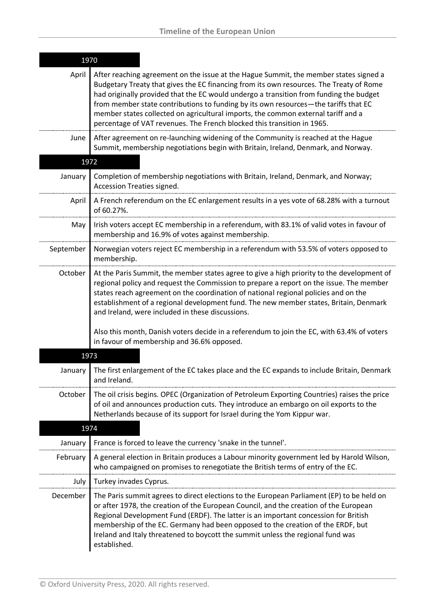| 1970      |                                                                                                                                                                                                                                                                                                                                                                                                                                                                                                                                   |
|-----------|-----------------------------------------------------------------------------------------------------------------------------------------------------------------------------------------------------------------------------------------------------------------------------------------------------------------------------------------------------------------------------------------------------------------------------------------------------------------------------------------------------------------------------------|
| April     | After reaching agreement on the issue at the Hague Summit, the member states signed a<br>Budgetary Treaty that gives the EC financing from its own resources. The Treaty of Rome<br>had originally provided that the EC would undergo a transition from funding the budget<br>from member state contributions to funding by its own resources-the tariffs that EC<br>member states collected on agricultural imports, the common external tariff and a<br>percentage of VAT revenues. The French blocked this transition in 1965. |
| June      | After agreement on re-launching widening of the Community is reached at the Hague<br>Summit, membership negotiations begin with Britain, Ireland, Denmark, and Norway.                                                                                                                                                                                                                                                                                                                                                            |
| 1972      |                                                                                                                                                                                                                                                                                                                                                                                                                                                                                                                                   |
| January   | Completion of membership negotiations with Britain, Ireland, Denmark, and Norway;<br>Accession Treaties signed.                                                                                                                                                                                                                                                                                                                                                                                                                   |
| April     | A French referendum on the EC enlargement results in a yes vote of 68.28% with a turnout<br>of 60.27%.                                                                                                                                                                                                                                                                                                                                                                                                                            |
| May       | Irish voters accept EC membership in a referendum, with 83.1% of valid votes in favour of<br>membership and 16.9% of votes against membership.                                                                                                                                                                                                                                                                                                                                                                                    |
| September | Norwegian voters reject EC membership in a referendum with 53.5% of voters opposed to<br>membership.                                                                                                                                                                                                                                                                                                                                                                                                                              |
| October   | At the Paris Summit, the member states agree to give a high priority to the development of<br>regional policy and request the Commission to prepare a report on the issue. The member<br>states reach agreement on the coordination of national regional policies and on the<br>establishment of a regional development fund. The new member states, Britain, Denmark<br>and Ireland, were included in these discussions.                                                                                                         |
|           | Also this month, Danish voters decide in a referendum to join the EC, with 63.4% of voters<br>in favour of membership and 36.6% opposed.                                                                                                                                                                                                                                                                                                                                                                                          |
| 1973      |                                                                                                                                                                                                                                                                                                                                                                                                                                                                                                                                   |
| January   | The first enlargement of the EC takes place and the EC expands to include Britain, Denmark<br>and Ireland.                                                                                                                                                                                                                                                                                                                                                                                                                        |
| October   | The oil crisis begins. OPEC (Organization of Petroleum Exporting Countries) raises the price<br>of oil and announces production cuts. They introduce an embargo on oil exports to the<br>Netherlands because of its support for Israel during the Yom Kippur war.                                                                                                                                                                                                                                                                 |
| 1974      |                                                                                                                                                                                                                                                                                                                                                                                                                                                                                                                                   |
| January   | France is forced to leave the currency 'snake in the tunnel'.                                                                                                                                                                                                                                                                                                                                                                                                                                                                     |
| February  | A general election in Britain produces a Labour minority government led by Harold Wilson,<br>who campaigned on promises to renegotiate the British terms of entry of the EC.                                                                                                                                                                                                                                                                                                                                                      |
| July      | Turkey invades Cyprus.                                                                                                                                                                                                                                                                                                                                                                                                                                                                                                            |
| December  | The Paris summit agrees to direct elections to the European Parliament (EP) to be held on<br>or after 1978, the creation of the European Council, and the creation of the European<br>Regional Development Fund (ERDF). The latter is an important concession for British<br>membership of the EC. Germany had been opposed to the creation of the ERDF, but<br>Ireland and Italy threatened to boycott the summit unless the regional fund was<br>established.                                                                   |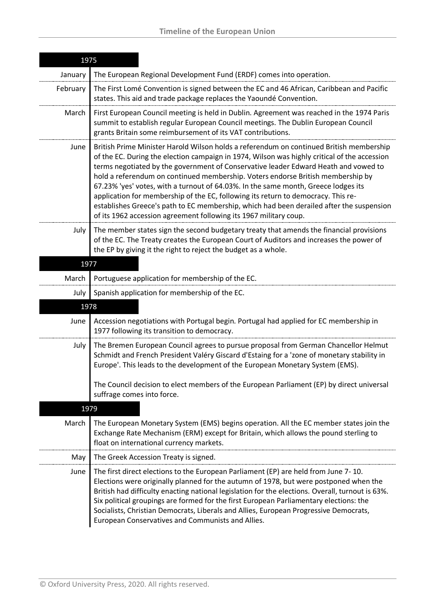|          | 1975                                                                                                                                                                                                                                                                                                                                                                                                                                                                                                                                                                                                                                                                                                          |  |
|----------|---------------------------------------------------------------------------------------------------------------------------------------------------------------------------------------------------------------------------------------------------------------------------------------------------------------------------------------------------------------------------------------------------------------------------------------------------------------------------------------------------------------------------------------------------------------------------------------------------------------------------------------------------------------------------------------------------------------|--|
| January  | The European Regional Development Fund (ERDF) comes into operation.                                                                                                                                                                                                                                                                                                                                                                                                                                                                                                                                                                                                                                           |  |
| February | The First Lomé Convention is signed between the EC and 46 African, Caribbean and Pacific<br>states. This aid and trade package replaces the Yaoundé Convention.                                                                                                                                                                                                                                                                                                                                                                                                                                                                                                                                               |  |
| March    | First European Council meeting is held in Dublin. Agreement was reached in the 1974 Paris<br>summit to establish regular European Council meetings. The Dublin European Council<br>grants Britain some reimbursement of its VAT contributions.                                                                                                                                                                                                                                                                                                                                                                                                                                                                |  |
| June     | British Prime Minister Harold Wilson holds a referendum on continued British membership<br>of the EC. During the election campaign in 1974, Wilson was highly critical of the accession<br>terms negotiated by the government of Conservative leader Edward Heath and vowed to<br>hold a referendum on continued membership. Voters endorse British membership by<br>67.23% 'yes' votes, with a turnout of 64.03%. In the same month, Greece lodges its<br>application for membership of the EC, following its return to democracy. This re-<br>establishes Greece's path to EC membership, which had been derailed after the suspension<br>of its 1962 accession agreement following its 1967 military coup. |  |
| July     | The member states sign the second budgetary treaty that amends the financial provisions<br>of the EC. The Treaty creates the European Court of Auditors and increases the power of<br>the EP by giving it the right to reject the budget as a whole.                                                                                                                                                                                                                                                                                                                                                                                                                                                          |  |
| 1977     |                                                                                                                                                                                                                                                                                                                                                                                                                                                                                                                                                                                                                                                                                                               |  |
| March    | Portuguese application for membership of the EC.                                                                                                                                                                                                                                                                                                                                                                                                                                                                                                                                                                                                                                                              |  |
| July     | Spanish application for membership of the EC.                                                                                                                                                                                                                                                                                                                                                                                                                                                                                                                                                                                                                                                                 |  |
| 1978     |                                                                                                                                                                                                                                                                                                                                                                                                                                                                                                                                                                                                                                                                                                               |  |
| June     | Accession negotiations with Portugal begin. Portugal had applied for EC membership in<br>1977 following its transition to democracy.                                                                                                                                                                                                                                                                                                                                                                                                                                                                                                                                                                          |  |
| July     | The Bremen European Council agrees to pursue proposal from German Chancellor Helmut<br>Schmidt and French President Valéry Giscard d'Estaing for a 'zone of monetary stability in<br>Europe'. This leads to the development of the European Monetary System (EMS).<br>The Council decision to elect members of the European Parliament (EP) by direct universal                                                                                                                                                                                                                                                                                                                                               |  |
|          | suffrage comes into force.                                                                                                                                                                                                                                                                                                                                                                                                                                                                                                                                                                                                                                                                                    |  |
| 1979     |                                                                                                                                                                                                                                                                                                                                                                                                                                                                                                                                                                                                                                                                                                               |  |
| March    | The European Monetary System (EMS) begins operation. All the EC member states join the<br>Exchange Rate Mechanism (ERM) except for Britain, which allows the pound sterling to<br>float on international currency markets.                                                                                                                                                                                                                                                                                                                                                                                                                                                                                    |  |
| May      | The Greek Accession Treaty is signed.                                                                                                                                                                                                                                                                                                                                                                                                                                                                                                                                                                                                                                                                         |  |
| June     | The first direct elections to the European Parliament (EP) are held from June 7-10.<br>Elections were originally planned for the autumn of 1978, but were postponed when the<br>British had difficulty enacting national legislation for the elections. Overall, turnout is 63%.<br>Six political groupings are formed for the first European Parliamentary elections: the<br>Socialists, Christian Democrats, Liberals and Allies, European Progressive Democrats,<br>European Conservatives and Communists and Allies.                                                                                                                                                                                      |  |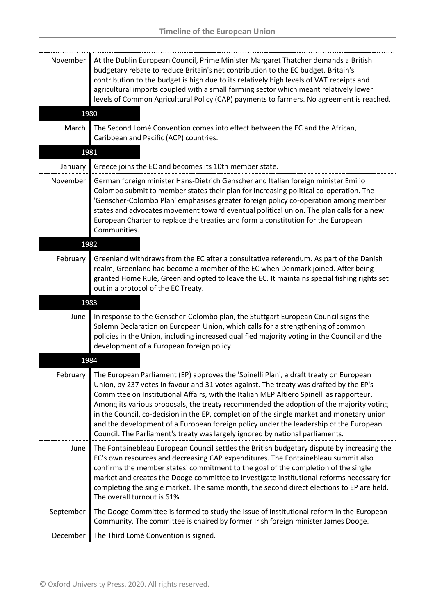| November  | At the Dublin European Council, Prime Minister Margaret Thatcher demands a British<br>budgetary rebate to reduce Britain's net contribution to the EC budget. Britain's<br>contribution to the budget is high due to its relatively high levels of VAT receipts and<br>agricultural imports coupled with a small farming sector which meant relatively lower<br>levels of Common Agricultural Policy (CAP) payments to farmers. No agreement is reached.                                                                                                                                                                                      |
|-----------|-----------------------------------------------------------------------------------------------------------------------------------------------------------------------------------------------------------------------------------------------------------------------------------------------------------------------------------------------------------------------------------------------------------------------------------------------------------------------------------------------------------------------------------------------------------------------------------------------------------------------------------------------|
| 1980      |                                                                                                                                                                                                                                                                                                                                                                                                                                                                                                                                                                                                                                               |
| March     | The Second Lomé Convention comes into effect between the EC and the African,<br>Caribbean and Pacific (ACP) countries.                                                                                                                                                                                                                                                                                                                                                                                                                                                                                                                        |
| 1981      |                                                                                                                                                                                                                                                                                                                                                                                                                                                                                                                                                                                                                                               |
| January   | Greece joins the EC and becomes its 10th member state.                                                                                                                                                                                                                                                                                                                                                                                                                                                                                                                                                                                        |
| November  | German foreign minister Hans-Dietrich Genscher and Italian foreign minister Emilio<br>Colombo submit to member states their plan for increasing political co-operation. The<br>'Genscher-Colombo Plan' emphasises greater foreign policy co-operation among member<br>states and advocates movement toward eventual political union. The plan calls for a new<br>European Charter to replace the treaties and form a constitution for the European<br>Communities.                                                                                                                                                                            |
| 1982      |                                                                                                                                                                                                                                                                                                                                                                                                                                                                                                                                                                                                                                               |
| February  | Greenland withdraws from the EC after a consultative referendum. As part of the Danish<br>realm, Greenland had become a member of the EC when Denmark joined. After being<br>granted Home Rule, Greenland opted to leave the EC. It maintains special fishing rights set<br>out in a protocol of the EC Treaty.                                                                                                                                                                                                                                                                                                                               |
| 1983      |                                                                                                                                                                                                                                                                                                                                                                                                                                                                                                                                                                                                                                               |
| June      | In response to the Genscher-Colombo plan, the Stuttgart European Council signs the<br>Solemn Declaration on European Union, which calls for a strengthening of common<br>policies in the Union, including increased qualified majority voting in the Council and the<br>development of a European foreign policy.                                                                                                                                                                                                                                                                                                                             |
| 1984      |                                                                                                                                                                                                                                                                                                                                                                                                                                                                                                                                                                                                                                               |
| February  | The European Parliament (EP) approves the 'Spinelli Plan', a draft treaty on European<br>Union, by 237 votes in favour and 31 votes against. The treaty was drafted by the EP's<br>Committee on Institutional Affairs, with the Italian MEP Altiero Spinelli as rapporteur.<br>Among its various proposals, the treaty recommended the adoption of the majority voting<br>in the Council, co-decision in the EP, completion of the single market and monetary union<br>and the development of a European foreign policy under the leadership of the European<br>Council. The Parliament's treaty was largely ignored by national parliaments. |
| June      | The Fontainebleau European Council settles the British budgetary dispute by increasing the<br>EC's own resources and decreasing CAP expenditures. The Fontainebleau summit also<br>confirms the member states' commitment to the goal of the completion of the single<br>market and creates the Dooge committee to investigate institutional reforms necessary for<br>completing the single market. The same month, the second direct elections to EP are held.<br>The overall turnout is 61%.                                                                                                                                                |
| September | The Dooge Committee is formed to study the issue of institutional reform in the European<br>Community. The committee is chaired by former Irish foreign minister James Dooge.                                                                                                                                                                                                                                                                                                                                                                                                                                                                 |
| December  | The Third Lomé Convention is signed.                                                                                                                                                                                                                                                                                                                                                                                                                                                                                                                                                                                                          |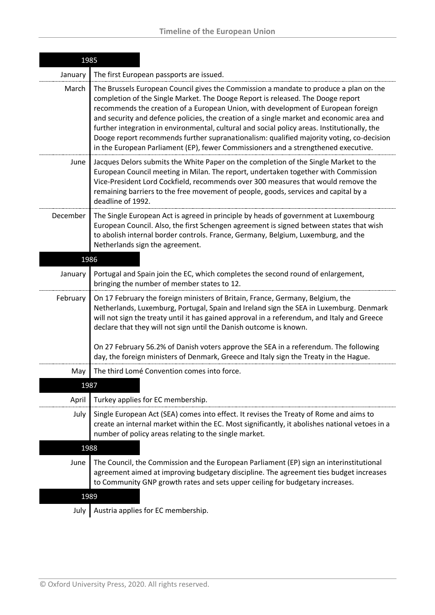| 1985     |                                                                                                                                                                                                                                                                                                                                                                                                                                                                                                                                                                                                                                             |  |
|----------|---------------------------------------------------------------------------------------------------------------------------------------------------------------------------------------------------------------------------------------------------------------------------------------------------------------------------------------------------------------------------------------------------------------------------------------------------------------------------------------------------------------------------------------------------------------------------------------------------------------------------------------------|--|
| January  | The first European passports are issued.                                                                                                                                                                                                                                                                                                                                                                                                                                                                                                                                                                                                    |  |
| March    | The Brussels European Council gives the Commission a mandate to produce a plan on the<br>completion of the Single Market. The Dooge Report is released. The Dooge report<br>recommends the creation of a European Union, with development of European foreign<br>and security and defence policies, the creation of a single market and economic area and<br>further integration in environmental, cultural and social policy areas. Institutionally, the<br>Dooge report recommends further supranationalism: qualified majority voting, co-decision<br>in the European Parliament (EP), fewer Commissioners and a strengthened executive. |  |
| June     | Jacques Delors submits the White Paper on the completion of the Single Market to the<br>European Council meeting in Milan. The report, undertaken together with Commission<br>Vice-President Lord Cockfield, recommends over 300 measures that would remove the<br>remaining barriers to the free movement of people, goods, services and capital by a<br>deadline of 1992.                                                                                                                                                                                                                                                                 |  |
| December | The Single European Act is agreed in principle by heads of government at Luxembourg<br>European Council. Also, the first Schengen agreement is signed between states that wish<br>to abolish internal border controls. France, Germany, Belgium, Luxemburg, and the<br>Netherlands sign the agreement.                                                                                                                                                                                                                                                                                                                                      |  |
|          | 1986                                                                                                                                                                                                                                                                                                                                                                                                                                                                                                                                                                                                                                        |  |
| January  | Portugal and Spain join the EC, which completes the second round of enlargement,<br>bringing the number of member states to 12.                                                                                                                                                                                                                                                                                                                                                                                                                                                                                                             |  |
| February | On 17 February the foreign ministers of Britain, France, Germany, Belgium, the<br>Netherlands, Luxemburg, Portugal, Spain and Ireland sign the SEA in Luxemburg. Denmark<br>will not sign the treaty until it has gained approval in a referendum, and Italy and Greece<br>declare that they will not sign until the Danish outcome is known.<br>On 27 February 56.2% of Danish voters approve the SEA in a referendum. The following                                                                                                                                                                                                       |  |
|          | day, the foreign ministers of Denmark, Greece and Italy sign the Treaty in the Hague.                                                                                                                                                                                                                                                                                                                                                                                                                                                                                                                                                       |  |
| May      | The third Lomé Convention comes into force.                                                                                                                                                                                                                                                                                                                                                                                                                                                                                                                                                                                                 |  |
| 1987     |                                                                                                                                                                                                                                                                                                                                                                                                                                                                                                                                                                                                                                             |  |
| April    | Turkey applies for EC membership.                                                                                                                                                                                                                                                                                                                                                                                                                                                                                                                                                                                                           |  |
| July     | Single European Act (SEA) comes into effect. It revises the Treaty of Rome and aims to<br>create an internal market within the EC. Most significantly, it abolishes national vetoes in a<br>number of policy areas relating to the single market.                                                                                                                                                                                                                                                                                                                                                                                           |  |
|          | 1988                                                                                                                                                                                                                                                                                                                                                                                                                                                                                                                                                                                                                                        |  |
| June     | The Council, the Commission and the European Parliament (EP) sign an interinstitutional<br>agreement aimed at improving budgetary discipline. The agreement ties budget increases<br>to Community GNP growth rates and sets upper ceiling for budgetary increases.                                                                                                                                                                                                                                                                                                                                                                          |  |
| 1989     |                                                                                                                                                                                                                                                                                                                                                                                                                                                                                                                                                                                                                                             |  |
|          | Austria annlies for FC membershin                                                                                                                                                                                                                                                                                                                                                                                                                                                                                                                                                                                                           |  |

July | Austria applies for EC membership.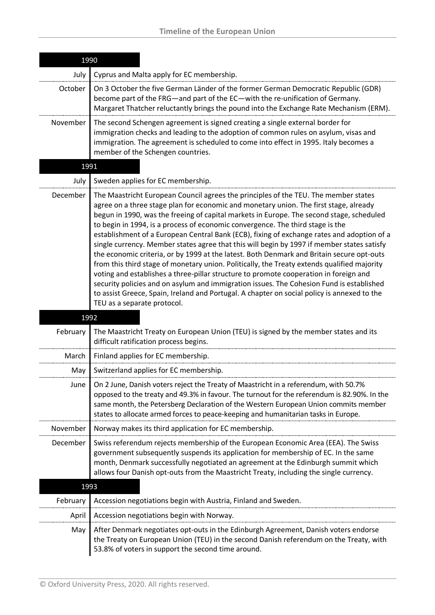| 1990     |                                                                                                                                                                                                                                                                                                                                                                                                                                                                                                                                                                                                                                                                                                                                                                                                                                                                                                                                                                                                                                                                       |
|----------|-----------------------------------------------------------------------------------------------------------------------------------------------------------------------------------------------------------------------------------------------------------------------------------------------------------------------------------------------------------------------------------------------------------------------------------------------------------------------------------------------------------------------------------------------------------------------------------------------------------------------------------------------------------------------------------------------------------------------------------------------------------------------------------------------------------------------------------------------------------------------------------------------------------------------------------------------------------------------------------------------------------------------------------------------------------------------|
| July     | Cyprus and Malta apply for EC membership.                                                                                                                                                                                                                                                                                                                                                                                                                                                                                                                                                                                                                                                                                                                                                                                                                                                                                                                                                                                                                             |
| October  | On 3 October the five German Länder of the former German Democratic Republic (GDR)<br>become part of the FRG-and part of the EC-with the re-unification of Germany.<br>Margaret Thatcher reluctantly brings the pound into the Exchange Rate Mechanism (ERM).                                                                                                                                                                                                                                                                                                                                                                                                                                                                                                                                                                                                                                                                                                                                                                                                         |
| November | The second Schengen agreement is signed creating a single external border for<br>immigration checks and leading to the adoption of common rules on asylum, visas and<br>immigration. The agreement is scheduled to come into effect in 1995. Italy becomes a<br>member of the Schengen countries.                                                                                                                                                                                                                                                                                                                                                                                                                                                                                                                                                                                                                                                                                                                                                                     |
| 1991     |                                                                                                                                                                                                                                                                                                                                                                                                                                                                                                                                                                                                                                                                                                                                                                                                                                                                                                                                                                                                                                                                       |
| July     | Sweden applies for EC membership.                                                                                                                                                                                                                                                                                                                                                                                                                                                                                                                                                                                                                                                                                                                                                                                                                                                                                                                                                                                                                                     |
| December | The Maastricht European Council agrees the principles of the TEU. The member states<br>agree on a three stage plan for economic and monetary union. The first stage, already<br>begun in 1990, was the freeing of capital markets in Europe. The second stage, scheduled<br>to begin in 1994, is a process of economic convergence. The third stage is the<br>establishment of a European Central Bank (ECB), fixing of exchange rates and adoption of a<br>single currency. Member states agree that this will begin by 1997 if member states satisfy<br>the economic criteria, or by 1999 at the latest. Both Denmark and Britain secure opt-outs<br>from this third stage of monetary union. Politically, the Treaty extends qualified majority<br>voting and establishes a three-pillar structure to promote cooperation in foreign and<br>security policies and on asylum and immigration issues. The Cohesion Fund is established<br>to assist Greece, Spain, Ireland and Portugal. A chapter on social policy is annexed to the<br>TEU as a separate protocol. |
| 1992     |                                                                                                                                                                                                                                                                                                                                                                                                                                                                                                                                                                                                                                                                                                                                                                                                                                                                                                                                                                                                                                                                       |
| February | The Maastricht Treaty on European Union (TEU) is signed by the member states and its<br>difficult ratification process begins.                                                                                                                                                                                                                                                                                                                                                                                                                                                                                                                                                                                                                                                                                                                                                                                                                                                                                                                                        |
| March    | Finland applies for EC membership.                                                                                                                                                                                                                                                                                                                                                                                                                                                                                                                                                                                                                                                                                                                                                                                                                                                                                                                                                                                                                                    |
| May      | Switzerland applies for EC membership.                                                                                                                                                                                                                                                                                                                                                                                                                                                                                                                                                                                                                                                                                                                                                                                                                                                                                                                                                                                                                                |
| June     | On 2 June, Danish voters reject the Treaty of Maastricht in a referendum, with 50.7%<br>opposed to the treaty and 49.3% in favour. The turnout for the referendum is 82.90%. In the<br>same month, the Petersberg Declaration of the Western European Union commits member<br>states to allocate armed forces to peace-keeping and humanitarian tasks in Europe.                                                                                                                                                                                                                                                                                                                                                                                                                                                                                                                                                                                                                                                                                                      |
| November | Norway makes its third application for EC membership.                                                                                                                                                                                                                                                                                                                                                                                                                                                                                                                                                                                                                                                                                                                                                                                                                                                                                                                                                                                                                 |
| December | Swiss referendum rejects membership of the European Economic Area (EEA). The Swiss<br>government subsequently suspends its application for membership of EC. In the same<br>month, Denmark successfully negotiated an agreement at the Edinburgh summit which<br>allows four Danish opt-outs from the Maastricht Treaty, including the single currency.                                                                                                                                                                                                                                                                                                                                                                                                                                                                                                                                                                                                                                                                                                               |
| 1993     |                                                                                                                                                                                                                                                                                                                                                                                                                                                                                                                                                                                                                                                                                                                                                                                                                                                                                                                                                                                                                                                                       |
| February | Accession negotiations begin with Austria, Finland and Sweden.                                                                                                                                                                                                                                                                                                                                                                                                                                                                                                                                                                                                                                                                                                                                                                                                                                                                                                                                                                                                        |
| April    | Accession negotiations begin with Norway.                                                                                                                                                                                                                                                                                                                                                                                                                                                                                                                                                                                                                                                                                                                                                                                                                                                                                                                                                                                                                             |
| May      | After Denmark negotiates opt-outs in the Edinburgh Agreement, Danish voters endorse<br>the Treaty on European Union (TEU) in the second Danish referendum on the Treaty, with<br>53.8% of voters in support the second time around.                                                                                                                                                                                                                                                                                                                                                                                                                                                                                                                                                                                                                                                                                                                                                                                                                                   |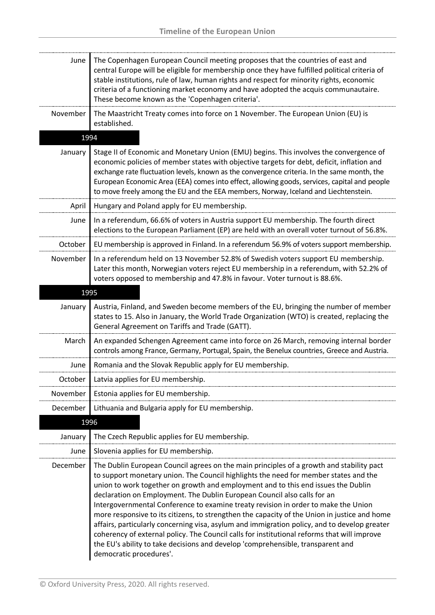| June     | The Copenhagen European Council meeting proposes that the countries of east and<br>central Europe will be eligible for membership once they have fulfilled political criteria of<br>stable institutions, rule of law, human rights and respect for minority rights, economic<br>criteria of a functioning market economy and have adopted the acquis communautaire.<br>These become known as the 'Copenhagen criteria'.                                                                                                                                                                                                                                                                                                                                                                                                                              |
|----------|------------------------------------------------------------------------------------------------------------------------------------------------------------------------------------------------------------------------------------------------------------------------------------------------------------------------------------------------------------------------------------------------------------------------------------------------------------------------------------------------------------------------------------------------------------------------------------------------------------------------------------------------------------------------------------------------------------------------------------------------------------------------------------------------------------------------------------------------------|
| November | The Maastricht Treaty comes into force on 1 November. The European Union (EU) is<br>established.                                                                                                                                                                                                                                                                                                                                                                                                                                                                                                                                                                                                                                                                                                                                                     |
| 1994     |                                                                                                                                                                                                                                                                                                                                                                                                                                                                                                                                                                                                                                                                                                                                                                                                                                                      |
| January  | Stage II of Economic and Monetary Union (EMU) begins. This involves the convergence of<br>economic policies of member states with objective targets for debt, deficit, inflation and<br>exchange rate fluctuation levels, known as the convergence criteria. In the same month, the<br>European Economic Area (EEA) comes into effect, allowing goods, services, capital and people<br>to move freely among the EU and the EEA members, Norway, Iceland and Liechtenstein.                                                                                                                                                                                                                                                                                                                                                                           |
| April    | Hungary and Poland apply for EU membership.                                                                                                                                                                                                                                                                                                                                                                                                                                                                                                                                                                                                                                                                                                                                                                                                          |
| June     | In a referendum, 66.6% of voters in Austria support EU membership. The fourth direct<br>elections to the European Parliament (EP) are held with an overall voter turnout of 56.8%.                                                                                                                                                                                                                                                                                                                                                                                                                                                                                                                                                                                                                                                                   |
| October  | EU membership is approved in Finland. In a referendum 56.9% of voters support membership.                                                                                                                                                                                                                                                                                                                                                                                                                                                                                                                                                                                                                                                                                                                                                            |
| November | In a referendum held on 13 November 52.8% of Swedish voters support EU membership.<br>Later this month, Norwegian voters reject EU membership in a referendum, with 52.2% of<br>voters opposed to membership and 47.8% in favour. Voter turnout is 88.6%.                                                                                                                                                                                                                                                                                                                                                                                                                                                                                                                                                                                            |
| 1995     |                                                                                                                                                                                                                                                                                                                                                                                                                                                                                                                                                                                                                                                                                                                                                                                                                                                      |
| January  | Austria, Finland, and Sweden become members of the EU, bringing the number of member<br>states to 15. Also in January, the World Trade Organization (WTO) is created, replacing the<br>General Agreement on Tariffs and Trade (GATT).                                                                                                                                                                                                                                                                                                                                                                                                                                                                                                                                                                                                                |
| March    | An expanded Schengen Agreement came into force on 26 March, removing internal border<br>controls among France, Germany, Portugal, Spain, the Benelux countries, Greece and Austria.                                                                                                                                                                                                                                                                                                                                                                                                                                                                                                                                                                                                                                                                  |
| June     | Romania and the Slovak Republic apply for EU membership.                                                                                                                                                                                                                                                                                                                                                                                                                                                                                                                                                                                                                                                                                                                                                                                             |
| October  | Latvia applies for EU membership.                                                                                                                                                                                                                                                                                                                                                                                                                                                                                                                                                                                                                                                                                                                                                                                                                    |
| November | Estonia applies for EU membership.                                                                                                                                                                                                                                                                                                                                                                                                                                                                                                                                                                                                                                                                                                                                                                                                                   |
| December | Lithuania and Bulgaria apply for EU membership.                                                                                                                                                                                                                                                                                                                                                                                                                                                                                                                                                                                                                                                                                                                                                                                                      |
| 1996     |                                                                                                                                                                                                                                                                                                                                                                                                                                                                                                                                                                                                                                                                                                                                                                                                                                                      |
| January  | The Czech Republic applies for EU membership.                                                                                                                                                                                                                                                                                                                                                                                                                                                                                                                                                                                                                                                                                                                                                                                                        |
| June     | Slovenia applies for EU membership.                                                                                                                                                                                                                                                                                                                                                                                                                                                                                                                                                                                                                                                                                                                                                                                                                  |
| December | The Dublin European Council agrees on the main principles of a growth and stability pact<br>to support monetary union. The Council highlights the need for member states and the<br>union to work together on growth and employment and to this end issues the Dublin<br>declaration on Employment. The Dublin European Council also calls for an<br>Intergovernmental Conference to examine treaty revision in order to make the Union<br>more responsive to its citizens, to strengthen the capacity of the Union in justice and home<br>affairs, particularly concerning visa, asylum and immigration policy, and to develop greater<br>coherency of external policy. The Council calls for institutional reforms that will improve<br>the EU's ability to take decisions and develop 'comprehensible, transparent and<br>democratic procedures'. |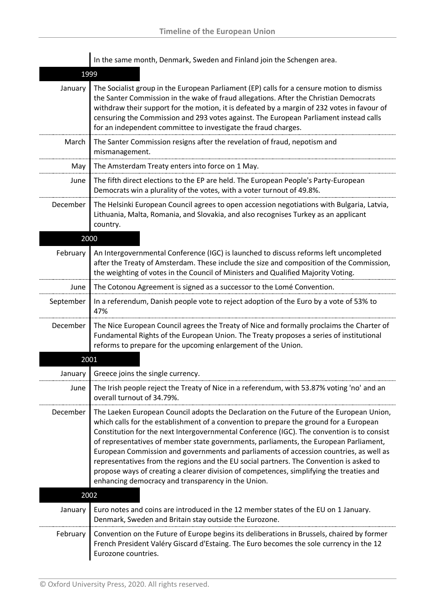|           | In the same month, Denmark, Sweden and Finland join the Schengen area.                                                                                                                                                                                                                                                                                                                                                                                                                                                                                                                                                                                                                                          |
|-----------|-----------------------------------------------------------------------------------------------------------------------------------------------------------------------------------------------------------------------------------------------------------------------------------------------------------------------------------------------------------------------------------------------------------------------------------------------------------------------------------------------------------------------------------------------------------------------------------------------------------------------------------------------------------------------------------------------------------------|
| 1999      |                                                                                                                                                                                                                                                                                                                                                                                                                                                                                                                                                                                                                                                                                                                 |
| January   | The Socialist group in the European Parliament (EP) calls for a censure motion to dismiss<br>the Santer Commission in the wake of fraud allegations. After the Christian Democrats<br>withdraw their support for the motion, it is defeated by a margin of 232 votes in favour of<br>censuring the Commission and 293 votes against. The European Parliament instead calls<br>for an independent committee to investigate the fraud charges.                                                                                                                                                                                                                                                                    |
| March     | The Santer Commission resigns after the revelation of fraud, nepotism and<br>mismanagement.                                                                                                                                                                                                                                                                                                                                                                                                                                                                                                                                                                                                                     |
| May       | The Amsterdam Treaty enters into force on 1 May.                                                                                                                                                                                                                                                                                                                                                                                                                                                                                                                                                                                                                                                                |
| June      | The fifth direct elections to the EP are held. The European People's Party-European<br>Democrats win a plurality of the votes, with a voter turnout of 49.8%.                                                                                                                                                                                                                                                                                                                                                                                                                                                                                                                                                   |
| December  | The Helsinki European Council agrees to open accession negotiations with Bulgaria, Latvia,<br>Lithuania, Malta, Romania, and Slovakia, and also recognises Turkey as an applicant<br>country.                                                                                                                                                                                                                                                                                                                                                                                                                                                                                                                   |
| 2000      |                                                                                                                                                                                                                                                                                                                                                                                                                                                                                                                                                                                                                                                                                                                 |
| February  | An Intergovernmental Conference (IGC) is launched to discuss reforms left uncompleted<br>after the Treaty of Amsterdam. These include the size and composition of the Commission,<br>the weighting of votes in the Council of Ministers and Qualified Majority Voting.                                                                                                                                                                                                                                                                                                                                                                                                                                          |
| June      | The Cotonou Agreement is signed as a successor to the Lomé Convention.                                                                                                                                                                                                                                                                                                                                                                                                                                                                                                                                                                                                                                          |
| September | In a referendum, Danish people vote to reject adoption of the Euro by a vote of 53% to<br>47%                                                                                                                                                                                                                                                                                                                                                                                                                                                                                                                                                                                                                   |
| December  | The Nice European Council agrees the Treaty of Nice and formally proclaims the Charter of<br>Fundamental Rights of the European Union. The Treaty proposes a series of institutional<br>reforms to prepare for the upcoming enlargement of the Union.                                                                                                                                                                                                                                                                                                                                                                                                                                                           |
| 2001      |                                                                                                                                                                                                                                                                                                                                                                                                                                                                                                                                                                                                                                                                                                                 |
| January   | Greece joins the single currency.                                                                                                                                                                                                                                                                                                                                                                                                                                                                                                                                                                                                                                                                               |
| June      | The Irish people reject the Treaty of Nice in a referendum, with 53.87% voting 'no' and an<br>overall turnout of 34.79%.                                                                                                                                                                                                                                                                                                                                                                                                                                                                                                                                                                                        |
| December  | The Laeken European Council adopts the Declaration on the Future of the European Union,<br>which calls for the establishment of a convention to prepare the ground for a European<br>Constitution for the next Intergovernmental Conference (IGC). The convention is to consist<br>of representatives of member state governments, parliaments, the European Parliament,<br>European Commission and governments and parliaments of accession countries, as well as<br>representatives from the regions and the EU social partners. The Convention is asked to<br>propose ways of creating a clearer division of competences, simplifying the treaties and<br>enhancing democracy and transparency in the Union. |
| 2002      |                                                                                                                                                                                                                                                                                                                                                                                                                                                                                                                                                                                                                                                                                                                 |
| January   | Euro notes and coins are introduced in the 12 member states of the EU on 1 January.<br>Denmark, Sweden and Britain stay outside the Eurozone.                                                                                                                                                                                                                                                                                                                                                                                                                                                                                                                                                                   |
| February  | Convention on the Future of Europe begins its deliberations in Brussels, chaired by former<br>French President Valéry Giscard d'Estaing. The Euro becomes the sole currency in the 12<br>Eurozone countries.                                                                                                                                                                                                                                                                                                                                                                                                                                                                                                    |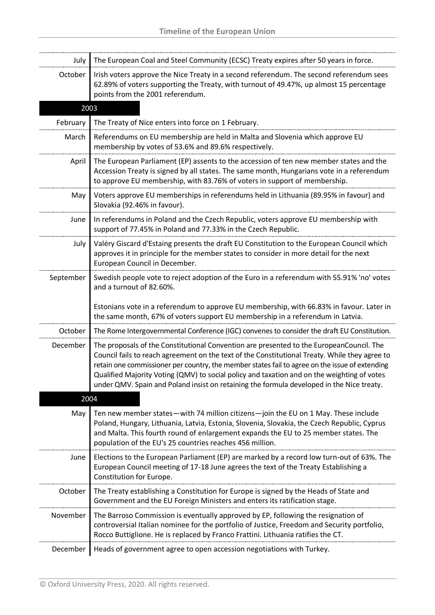| July      | The European Coal and Steel Community (ECSC) Treaty expires after 50 years in force.                                                                                                                                                                                                                                                                                                                                                                                                     |
|-----------|------------------------------------------------------------------------------------------------------------------------------------------------------------------------------------------------------------------------------------------------------------------------------------------------------------------------------------------------------------------------------------------------------------------------------------------------------------------------------------------|
| October   | Irish voters approve the Nice Treaty in a second referendum. The second referendum sees<br>62.89% of voters supporting the Treaty, with turnout of 49.47%, up almost 15 percentage<br>points from the 2001 referendum.                                                                                                                                                                                                                                                                   |
| 2003      |                                                                                                                                                                                                                                                                                                                                                                                                                                                                                          |
| February  | The Treaty of Nice enters into force on 1 February.                                                                                                                                                                                                                                                                                                                                                                                                                                      |
| March     | Referendums on EU membership are held in Malta and Slovenia which approve EU<br>membership by votes of 53.6% and 89.6% respectively.                                                                                                                                                                                                                                                                                                                                                     |
| April     | The European Parliament (EP) assents to the accession of ten new member states and the<br>Accession Treaty is signed by all states. The same month, Hungarians vote in a referendum<br>to approve EU membership, with 83.76% of voters in support of membership.                                                                                                                                                                                                                         |
| May       | Voters approve EU memberships in referendums held in Lithuania (89.95% in favour) and<br>Slovakia (92.46% in favour).                                                                                                                                                                                                                                                                                                                                                                    |
| June      | In referendums in Poland and the Czech Republic, voters approve EU membership with<br>support of 77.45% in Poland and 77.33% in the Czech Republic.                                                                                                                                                                                                                                                                                                                                      |
| July      | Valéry Giscard d'Estaing presents the draft EU Constitution to the European Council which<br>approves it in principle for the member states to consider in more detail for the next<br>European Council in December.                                                                                                                                                                                                                                                                     |
| September | Swedish people vote to reject adoption of the Euro in a referendum with 55.91% 'no' votes<br>and a turnout of 82.60%.<br>Estonians vote in a referendum to approve EU membership, with 66.83% in favour. Later in<br>the same month, 67% of voters support EU membership in a referendum in Latvia.                                                                                                                                                                                      |
| October   | The Rome Intergovernmental Conference (IGC) convenes to consider the draft EU Constitution.                                                                                                                                                                                                                                                                                                                                                                                              |
| December  | The proposals of the Constitutional Convention are presented to the EuropeanCouncil. The<br>Council fails to reach agreement on the text of the Constitutional Treaty. While they agree to<br>retain one commissioner per country, the member states fail to agree on the issue of extending<br>Qualified Majority Voting (QMV) to social policy and taxation and on the weighting of votes<br>under QMV. Spain and Poland insist on retaining the formula developed in the Nice treaty. |
| 2004      |                                                                                                                                                                                                                                                                                                                                                                                                                                                                                          |
| May       | Ten new member states-with 74 million citizens-join the EU on 1 May. These include<br>Poland, Hungary, Lithuania, Latvia, Estonia, Slovenia, Slovakia, the Czech Republic, Cyprus<br>and Malta. This fourth round of enlargement expands the EU to 25 member states. The<br>population of the EU's 25 countries reaches 456 million.                                                                                                                                                     |
| June      | Elections to the European Parliament (EP) are marked by a record low turn-out of 63%. The<br>European Council meeting of 17-18 June agrees the text of the Treaty Establishing a<br>Constitution for Europe.                                                                                                                                                                                                                                                                             |
| October   | The Treaty establishing a Constitution for Europe is signed by the Heads of State and<br>Government and the EU Foreign Ministers and enters its ratification stage.                                                                                                                                                                                                                                                                                                                      |
| November  | The Barroso Commission is eventually approved by EP, following the resignation of<br>controversial Italian nominee for the portfolio of Justice, Freedom and Security portfolio,<br>Rocco Buttiglione. He is replaced by Franco Frattini. Lithuania ratifies the CT.                                                                                                                                                                                                                     |
| December  | Heads of government agree to open accession negotiations with Turkey.                                                                                                                                                                                                                                                                                                                                                                                                                    |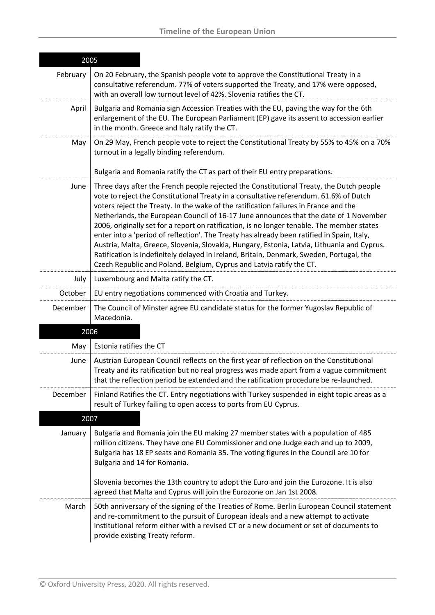| 2005     |                                                                                                                                                                                                                                                                                                                                                                                                                                                                                                                                                                                                                                                                                                                                                                                                                                  |
|----------|----------------------------------------------------------------------------------------------------------------------------------------------------------------------------------------------------------------------------------------------------------------------------------------------------------------------------------------------------------------------------------------------------------------------------------------------------------------------------------------------------------------------------------------------------------------------------------------------------------------------------------------------------------------------------------------------------------------------------------------------------------------------------------------------------------------------------------|
| February | On 20 February, the Spanish people vote to approve the Constitutional Treaty in a<br>consultative referendum. 77% of voters supported the Treaty, and 17% were opposed,<br>with an overall low turnout level of 42%. Slovenia ratifies the CT.                                                                                                                                                                                                                                                                                                                                                                                                                                                                                                                                                                                   |
| April    | Bulgaria and Romania sign Accession Treaties with the EU, paving the way for the 6th<br>enlargement of the EU. The European Parliament (EP) gave its assent to accession earlier<br>in the month. Greece and Italy ratify the CT.                                                                                                                                                                                                                                                                                                                                                                                                                                                                                                                                                                                                |
| May      | On 29 May, French people vote to reject the Constitutional Treaty by 55% to 45% on a 70%<br>turnout in a legally binding referendum.                                                                                                                                                                                                                                                                                                                                                                                                                                                                                                                                                                                                                                                                                             |
|          | Bulgaria and Romania ratify the CT as part of their EU entry preparations.                                                                                                                                                                                                                                                                                                                                                                                                                                                                                                                                                                                                                                                                                                                                                       |
| June     | Three days after the French people rejected the Constitutional Treaty, the Dutch people<br>vote to reject the Constitutional Treaty in a consultative referendum. 61.6% of Dutch<br>voters reject the Treaty. In the wake of the ratification failures in France and the<br>Netherlands, the European Council of 16-17 June announces that the date of 1 November<br>2006, originally set for a report on ratification, is no longer tenable. The member states<br>enter into a 'period of reflection'. The Treaty has already been ratified in Spain, Italy,<br>Austria, Malta, Greece, Slovenia, Slovakia, Hungary, Estonia, Latvia, Lithuania and Cyprus.<br>Ratification is indefinitely delayed in Ireland, Britain, Denmark, Sweden, Portugal, the<br>Czech Republic and Poland. Belgium, Cyprus and Latvia ratify the CT. |
| July     | Luxembourg and Malta ratify the CT.                                                                                                                                                                                                                                                                                                                                                                                                                                                                                                                                                                                                                                                                                                                                                                                              |
| October  | EU entry negotiations commenced with Croatia and Turkey.                                                                                                                                                                                                                                                                                                                                                                                                                                                                                                                                                                                                                                                                                                                                                                         |
| December | The Council of Minster agree EU candidate status for the former Yugoslav Republic of<br>Macedonia.                                                                                                                                                                                                                                                                                                                                                                                                                                                                                                                                                                                                                                                                                                                               |
|          | 2006                                                                                                                                                                                                                                                                                                                                                                                                                                                                                                                                                                                                                                                                                                                                                                                                                             |
| May      | Estonia ratifies the CT                                                                                                                                                                                                                                                                                                                                                                                                                                                                                                                                                                                                                                                                                                                                                                                                          |
| June     | Austrian European Council reflects on the first year of reflection on the Constitutional<br>Treaty and its ratification but no real progress was made apart from a vague commitment<br>that the reflection period be extended and the ratification procedure be re-launched.                                                                                                                                                                                                                                                                                                                                                                                                                                                                                                                                                     |
| December | Finland Ratifies the CT. Entry negotiations with Turkey suspended in eight topic areas as a<br>result of Turkey failing to open access to ports from EU Cyprus.                                                                                                                                                                                                                                                                                                                                                                                                                                                                                                                                                                                                                                                                  |
| 2007     |                                                                                                                                                                                                                                                                                                                                                                                                                                                                                                                                                                                                                                                                                                                                                                                                                                  |
| January  | Bulgaria and Romania join the EU making 27 member states with a population of 485<br>million citizens. They have one EU Commissioner and one Judge each and up to 2009,<br>Bulgaria has 18 EP seats and Romania 35. The voting figures in the Council are 10 for<br>Bulgaria and 14 for Romania.                                                                                                                                                                                                                                                                                                                                                                                                                                                                                                                                 |
|          | Slovenia becomes the 13th country to adopt the Euro and join the Eurozone. It is also<br>agreed that Malta and Cyprus will join the Eurozone on Jan 1st 2008.                                                                                                                                                                                                                                                                                                                                                                                                                                                                                                                                                                                                                                                                    |
| March    | 50th anniversary of the signing of the Treaties of Rome. Berlin European Council statement<br>and re-commitment to the pursuit of European ideals and a new attempt to activate<br>institutional reform either with a revised CT or a new document or set of documents to<br>provide existing Treaty reform.                                                                                                                                                                                                                                                                                                                                                                                                                                                                                                                     |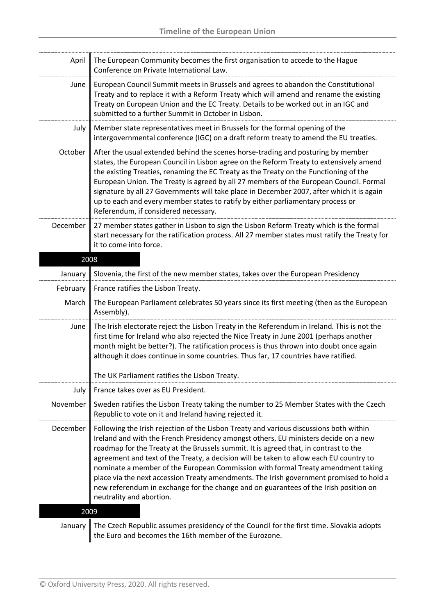--------------

| April     | The European Community becomes the first organisation to accede to the Hague<br>Conference on Private International Law.                                                                                                                                                                                                                                                                                                                                                                                                                                                                                                                                           |
|-----------|--------------------------------------------------------------------------------------------------------------------------------------------------------------------------------------------------------------------------------------------------------------------------------------------------------------------------------------------------------------------------------------------------------------------------------------------------------------------------------------------------------------------------------------------------------------------------------------------------------------------------------------------------------------------|
| June      | European Council Summit meets in Brussels and agrees to abandon the Constitutional<br>Treaty and to replace it with a Reform Treaty which will amend and rename the existing<br>Treaty on European Union and the EC Treaty. Details to be worked out in an IGC and<br>submitted to a further Summit in October in Lisbon.                                                                                                                                                                                                                                                                                                                                          |
| July      | Member state representatives meet in Brussels for the formal opening of the<br>intergovernmental conference (IGC) on a draft reform treaty to amend the EU treaties.                                                                                                                                                                                                                                                                                                                                                                                                                                                                                               |
| October   | After the usual extended behind the scenes horse-trading and posturing by member<br>states, the European Council in Lisbon agree on the Reform Treaty to extensively amend<br>the existing Treaties, renaming the EC Treaty as the Treaty on the Functioning of the<br>European Union. The Treaty is agreed by all 27 members of the European Council. Formal<br>signature by all 27 Governments will take place in December 2007, after which it is again<br>up to each and every member states to ratify by either parliamentary process or<br>Referendum, if considered necessary.                                                                              |
| December  | 27 member states gather in Lisbon to sign the Lisbon Reform Treaty which is the formal<br>start necessary for the ratification process. All 27 member states must ratify the Treaty for<br>it to come into force.                                                                                                                                                                                                                                                                                                                                                                                                                                                  |
| 2008      |                                                                                                                                                                                                                                                                                                                                                                                                                                                                                                                                                                                                                                                                    |
| January   | Slovenia, the first of the new member states, takes over the European Presidency                                                                                                                                                                                                                                                                                                                                                                                                                                                                                                                                                                                   |
| February  | France ratifies the Lisbon Treaty.                                                                                                                                                                                                                                                                                                                                                                                                                                                                                                                                                                                                                                 |
| March     | The European Parliament celebrates 50 years since its first meeting (then as the European<br>Assembly).                                                                                                                                                                                                                                                                                                                                                                                                                                                                                                                                                            |
| June      | The Irish electorate reject the Lisbon Treaty in the Referendum in Ireland. This is not the<br>first time for Ireland who also rejected the Nice Treaty in June 2001 (perhaps another<br>month might be better?). The ratification process is thus thrown into doubt once again<br>although it does continue in some countries. Thus far, 17 countries have ratified.                                                                                                                                                                                                                                                                                              |
|           | The UK Parliament ratifies the Lisbon Treaty.                                                                                                                                                                                                                                                                                                                                                                                                                                                                                                                                                                                                                      |
| July      | France takes over as EU President.                                                                                                                                                                                                                                                                                                                                                                                                                                                                                                                                                                                                                                 |
| November  | Sweden ratifies the Lisbon Treaty taking the number to 25 Member States with the Czech<br>Republic to vote on it and Ireland having rejected it.                                                                                                                                                                                                                                                                                                                                                                                                                                                                                                                   |
| December  | Following the Irish rejection of the Lisbon Treaty and various discussions both within<br>Ireland and with the French Presidency amongst others, EU ministers decide on a new<br>roadmap for the Treaty at the Brussels summit. It is agreed that, in contrast to the<br>agreement and text of the Treaty, a decision will be taken to allow each EU country to<br>nominate a member of the European Commission with formal Treaty amendment taking<br>place via the next accession Treaty amendments. The Irish government promised to hold a<br>new referendum in exchange for the change and on guarantees of the Irish position on<br>neutrality and abortion. |
| 2009      |                                                                                                                                                                                                                                                                                                                                                                                                                                                                                                                                                                                                                                                                    |
| January I | The Czech Republic assumes presidency of the Council for the first time. Slovakia adopts                                                                                                                                                                                                                                                                                                                                                                                                                                                                                                                                                                           |

January | The Czech Republic assumes presidency of the Council for the first time. Slovakia adopts the Euro and becomes the 16th member of the Eurozone.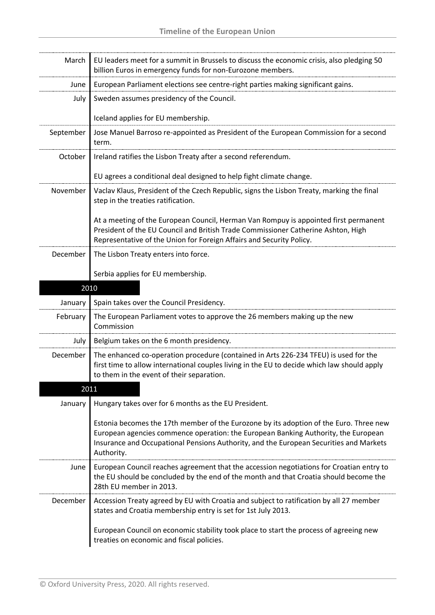| March            | EU leaders meet for a summit in Brussels to discuss the economic crisis, also pledging 50<br>billion Euros in emergency funds for non-Eurozone members.                                                                                                                                                                                                                              |
|------------------|--------------------------------------------------------------------------------------------------------------------------------------------------------------------------------------------------------------------------------------------------------------------------------------------------------------------------------------------------------------------------------------|
| June             | European Parliament elections see centre-right parties making significant gains.                                                                                                                                                                                                                                                                                                     |
| July             | Sweden assumes presidency of the Council.<br>Iceland applies for EU membership.                                                                                                                                                                                                                                                                                                      |
| September        | Jose Manuel Barroso re-appointed as President of the European Commission for a second<br>term.                                                                                                                                                                                                                                                                                       |
| October          | Ireland ratifies the Lisbon Treaty after a second referendum.<br>EU agrees a conditional deal designed to help fight climate change.                                                                                                                                                                                                                                                 |
| November         | Vaclav Klaus, President of the Czech Republic, signs the Lisbon Treaty, marking the final<br>step in the treaties ratification.<br>At a meeting of the European Council, Herman Van Rompuy is appointed first permanent<br>President of the EU Council and British Trade Commissioner Catherine Ashton, High<br>Representative of the Union for Foreign Affairs and Security Policy. |
| December         | The Lisbon Treaty enters into force.<br>Serbia applies for EU membership.                                                                                                                                                                                                                                                                                                            |
| 2010             |                                                                                                                                                                                                                                                                                                                                                                                      |
| January          | Spain takes over the Council Presidency.                                                                                                                                                                                                                                                                                                                                             |
| February         | The European Parliament votes to approve the 26 members making up the new<br>Commission                                                                                                                                                                                                                                                                                              |
| July             | Belgium takes on the 6 month presidency.                                                                                                                                                                                                                                                                                                                                             |
| December<br>2011 | The enhanced co-operation procedure (contained in Arts 226-234 TFEU) is used for the<br>first time to allow international couples living in the EU to decide which law should apply<br>to them in the event of their separation.                                                                                                                                                     |
| January          | Hungary takes over for 6 months as the EU President.                                                                                                                                                                                                                                                                                                                                 |
|                  | Estonia becomes the 17th member of the Eurozone by its adoption of the Euro. Three new<br>European agencies commence operation: the European Banking Authority, the European<br>Insurance and Occupational Pensions Authority, and the European Securities and Markets<br>Authority.                                                                                                 |
| June             | European Council reaches agreement that the accession negotiations for Croatian entry to<br>the EU should be concluded by the end of the month and that Croatia should become the<br>28th EU member in 2013.                                                                                                                                                                         |
| December         | Accession Treaty agreed by EU with Croatia and subject to ratification by all 27 member<br>states and Croatia membership entry is set for 1st July 2013.                                                                                                                                                                                                                             |
|                  | European Council on economic stability took place to start the process of agreeing new<br>treaties on economic and fiscal policies.                                                                                                                                                                                                                                                  |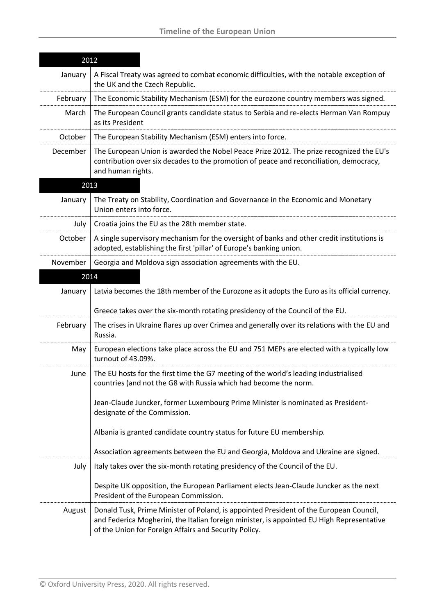| 2012     |                                                                                                                                                                                                                                              |  |
|----------|----------------------------------------------------------------------------------------------------------------------------------------------------------------------------------------------------------------------------------------------|--|
| January  | A Fiscal Treaty was agreed to combat economic difficulties, with the notable exception of<br>the UK and the Czech Republic.                                                                                                                  |  |
| February | The Economic Stability Mechanism (ESM) for the eurozone country members was signed.                                                                                                                                                          |  |
| March    | The European Council grants candidate status to Serbia and re-elects Herman Van Rompuy<br>as its President                                                                                                                                   |  |
| October  | The European Stability Mechanism (ESM) enters into force.                                                                                                                                                                                    |  |
| December | The European Union is awarded the Nobel Peace Prize 2012. The prize recognized the EU's<br>contribution over six decades to the promotion of peace and reconciliation, democracy,<br>and human rights.                                       |  |
|          | 2013                                                                                                                                                                                                                                         |  |
| January  | The Treaty on Stability, Coordination and Governance in the Economic and Monetary<br>Union enters into force.                                                                                                                                |  |
| July     | Croatia joins the EU as the 28th member state.                                                                                                                                                                                               |  |
| October  | A single supervisory mechanism for the oversight of banks and other credit institutions is<br>adopted, establishing the first 'pillar' of Europe's banking union.                                                                            |  |
| November | Georgia and Moldova sign association agreements with the EU.                                                                                                                                                                                 |  |
|          | 2014                                                                                                                                                                                                                                         |  |
| January  | Latvia becomes the 18th member of the Eurozone as it adopts the Euro as its official currency.                                                                                                                                               |  |
|          | Greece takes over the six-month rotating presidency of the Council of the EU.                                                                                                                                                                |  |
| February | The crises in Ukraine flares up over Crimea and generally over its relations with the EU and<br>Russia.                                                                                                                                      |  |
| May      | European elections take place across the EU and 751 MEPs are elected with a typically low<br>turnout of 43.09%.                                                                                                                              |  |
| June     | The EU hosts for the first time the G7 meeting of the world's leading industrialised<br>countries (and not the G8 with Russia which had become the norm.                                                                                     |  |
|          | Jean-Claude Juncker, former Luxembourg Prime Minister is nominated as President-<br>designate of the Commission.                                                                                                                             |  |
|          | Albania is granted candidate country status for future EU membership.                                                                                                                                                                        |  |
|          | Association agreements between the EU and Georgia, Moldova and Ukraine are signed.                                                                                                                                                           |  |
| July     | Italy takes over the six-month rotating presidency of the Council of the EU.                                                                                                                                                                 |  |
|          | Despite UK opposition, the European Parliament elects Jean-Claude Juncker as the next<br>President of the European Commission.                                                                                                               |  |
| August   | Donald Tusk, Prime Minister of Poland, is appointed President of the European Council,<br>and Federica Mogherini, the Italian foreign minister, is appointed EU High Representative<br>of the Union for Foreign Affairs and Security Policy. |  |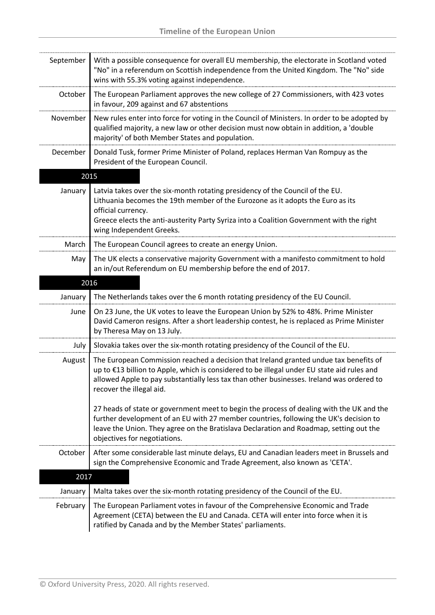| September | With a possible consequence for overall EU membership, the electorate in Scotland voted<br>"No" in a referendum on Scottish independence from the United Kingdom. The "No" side<br>wins with 55.3% voting against independence.                                                                               |
|-----------|---------------------------------------------------------------------------------------------------------------------------------------------------------------------------------------------------------------------------------------------------------------------------------------------------------------|
| October   | The European Parliament approves the new college of 27 Commissioners, with 423 votes<br>in favour, 209 against and 67 abstentions                                                                                                                                                                             |
| November  | New rules enter into force for voting in the Council of Ministers. In order to be adopted by<br>qualified majority, a new law or other decision must now obtain in addition, a 'double<br>majority' of both Member States and population.                                                                     |
| December  | Donald Tusk, former Prime Minister of Poland, replaces Herman Van Rompuy as the<br>President of the European Council.                                                                                                                                                                                         |
|           | 2015                                                                                                                                                                                                                                                                                                          |
| January   | Latvia takes over the six-month rotating presidency of the Council of the EU.<br>Lithuania becomes the 19th member of the Eurozone as it adopts the Euro as its<br>official currency.<br>Greece elects the anti-austerity Party Syriza into a Coalition Government with the right<br>wing Independent Greeks. |
| March     | The European Council agrees to create an energy Union.                                                                                                                                                                                                                                                        |
| May       | The UK elects a conservative majority Government with a manifesto commitment to hold<br>an in/out Referendum on EU membership before the end of 2017.                                                                                                                                                         |
|           | 2016                                                                                                                                                                                                                                                                                                          |
| January   | The Netherlands takes over the 6 month rotating presidency of the EU Council.                                                                                                                                                                                                                                 |
| June      | On 23 June, the UK votes to leave the European Union by 52% to 48%. Prime Minister<br>David Cameron resigns. After a short leadership contest, he is replaced as Prime Minister<br>by Theresa May on 13 July.                                                                                                 |
| July      | Slovakia takes over the six-month rotating presidency of the Council of the EU.                                                                                                                                                                                                                               |
| August    | The European Commission reached a decision that Ireland granted undue tax benefits of<br>up to €13 billion to Apple, which is considered to be illegal under EU state aid rules and<br>allowed Apple to pay substantially less tax than other businesses. Ireland was ordered to<br>recover the illegal aid.  |
|           | 27 heads of state or government meet to begin the process of dealing with the UK and the<br>further development of an EU with 27 member countries, following the UK's decision to<br>leave the Union. They agree on the Bratislava Declaration and Roadmap, setting out the<br>objectives for negotiations.   |
| October   | After some considerable last minute delays, EU and Canadian leaders meet in Brussels and<br>sign the Comprehensive Economic and Trade Agreement, also known as 'CETA'.                                                                                                                                        |
| 2017      |                                                                                                                                                                                                                                                                                                               |
| January   | Malta takes over the six-month rotating presidency of the Council of the EU.                                                                                                                                                                                                                                  |
| February  | The European Parliament votes in favour of the Comprehensive Economic and Trade<br>Agreement (CETA) between the EU and Canada. CETA will enter into force when it is<br>ratified by Canada and by the Member States' parliaments.                                                                             |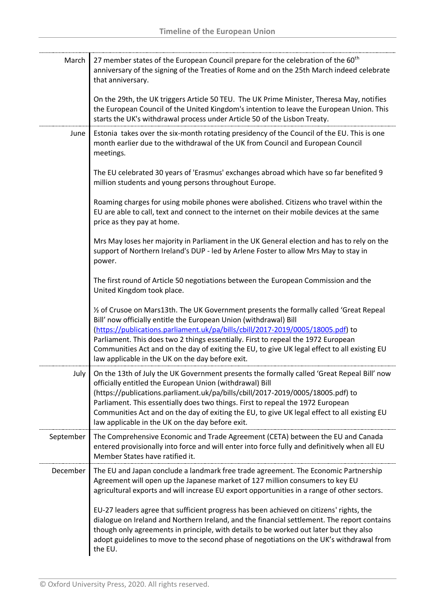| March     | 27 member states of the European Council prepare for the celebration of the 60 <sup>th</sup><br>anniversary of the signing of the Treaties of Rome and on the 25th March indeed celebrate<br>that anniversary.                                                                                                                                                                                                                                                                           |
|-----------|------------------------------------------------------------------------------------------------------------------------------------------------------------------------------------------------------------------------------------------------------------------------------------------------------------------------------------------------------------------------------------------------------------------------------------------------------------------------------------------|
|           | On the 29th, the UK triggers Article 50 TEU. The UK Prime Minister, Theresa May, notifies<br>the European Council of the United Kingdom's intention to leave the European Union. This<br>starts the UK's withdrawal process under Article 50 of the Lisbon Treaty.                                                                                                                                                                                                                       |
| June      | Estonia takes over the six-month rotating presidency of the Council of the EU. This is one<br>month earlier due to the withdrawal of the UK from Council and European Council<br>meetings.                                                                                                                                                                                                                                                                                               |
|           | The EU celebrated 30 years of 'Erasmus' exchanges abroad which have so far benefited 9<br>million students and young persons throughout Europe.                                                                                                                                                                                                                                                                                                                                          |
|           | Roaming charges for using mobile phones were abolished. Citizens who travel within the<br>EU are able to call, text and connect to the internet on their mobile devices at the same<br>price as they pay at home.                                                                                                                                                                                                                                                                        |
|           | Mrs May loses her majority in Parliament in the UK General election and has to rely on the<br>support of Northern Ireland's DUP - led by Arlene Foster to allow Mrs May to stay in<br>power.                                                                                                                                                                                                                                                                                             |
|           | The first round of Article 50 negotiations between the European Commission and the<br>United Kingdom took place.                                                                                                                                                                                                                                                                                                                                                                         |
|           | 1/2 of Crusoe on Mars13th. The UK Government presents the formally called 'Great Repeal<br>Bill' now officially entitle the European Union (withdrawal) Bill<br>(https://publications.parliament.uk/pa/bills/cbill/2017-2019/0005/18005.pdf) to<br>Parliament. This does two 2 things essentially. First to repeal the 1972 European<br>Communities Act and on the day of exiting the EU, to give UK legal effect to all existing EU<br>law applicable in the UK on the day before exit. |
| July      | On the 13th of July the UK Government presents the formally called 'Great Repeal Bill' now<br>officially entitled the European Union (withdrawal) Bill<br>(https://publications.parliament.uk/pa/bills/cbill/2017-2019/0005/18005.pdf) to<br>Parliament. This essentially does two things. First to repeal the 1972 European<br>Communities Act and on the day of exiting the EU, to give UK legal effect to all existing EU<br>law applicable in the UK on the day before exit.         |
| September | The Comprehensive Economic and Trade Agreement (CETA) between the EU and Canada<br>entered provisionally into force and will enter into force fully and definitively when all EU<br>Member States have ratified it.                                                                                                                                                                                                                                                                      |
| December  | The EU and Japan conclude a landmark free trade agreement. The Economic Partnership<br>Agreement will open up the Japanese market of 127 million consumers to key EU<br>agricultural exports and will increase EU export opportunities in a range of other sectors.                                                                                                                                                                                                                      |
|           | EU-27 leaders agree that sufficient progress has been achieved on citizens' rights, the<br>dialogue on Ireland and Northern Ireland, and the financial settlement. The report contains<br>though only agreements in principle, with details to be worked out later but they also<br>adopt guidelines to move to the second phase of negotiations on the UK's withdrawal from<br>the EU.                                                                                                  |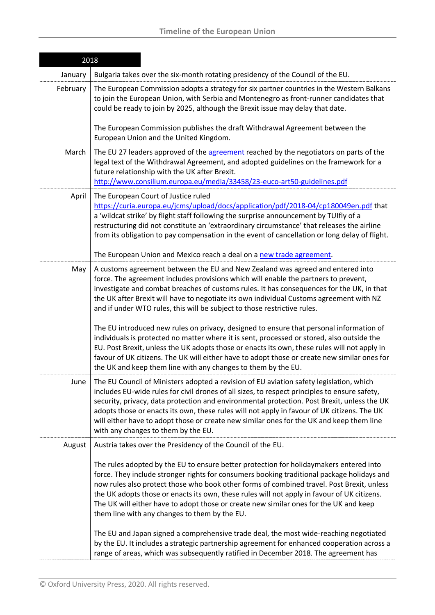| 2018     |                                                                                                                                                                                                                                                                                                                                                                                                                                                                                                                            |
|----------|----------------------------------------------------------------------------------------------------------------------------------------------------------------------------------------------------------------------------------------------------------------------------------------------------------------------------------------------------------------------------------------------------------------------------------------------------------------------------------------------------------------------------|
| January  | Bulgaria takes over the six-month rotating presidency of the Council of the EU.                                                                                                                                                                                                                                                                                                                                                                                                                                            |
| February | The European Commission adopts a strategy for six partner countries in the Western Balkans<br>to join the European Union, with Serbia and Montenegro as front-runner candidates that<br>could be ready to join by 2025, although the Brexit issue may delay that date.<br>The European Commission publishes the draft Withdrawal Agreement between the                                                                                                                                                                     |
|          | European Union and the United Kingdom.                                                                                                                                                                                                                                                                                                                                                                                                                                                                                     |
| March    | The EU 27 leaders approved of the agreement reached by the negotiators on parts of the<br>legal text of the Withdrawal Agreement, and adopted guidelines on the framework for a<br>future relationship with the UK after Brexit.<br>http://www.consilium.europa.eu/media/33458/23-euco-art50-guidelines.pdf                                                                                                                                                                                                                |
| April    | The European Court of Justice ruled<br>https://curia.europa.eu/jcms/upload/docs/application/pdf/2018-04/cp180049en.pdf that<br>a 'wildcat strike' by flight staff following the surprise announcement by TUIfly of a<br>restructuring did not constitute an 'extraordinary circumstance' that releases the airline<br>from its obligation to pay compensation in the event of cancellation or long delay of flight.<br>The European Union and Mexico reach a deal on a new trade agreement.                                |
| May      | A customs agreement between the EU and New Zealand was agreed and entered into<br>force. The agreement includes provisions which will enable the partners to prevent,<br>investigate and combat breaches of customs rules. It has consequences for the UK, in that<br>the UK after Brexit will have to negotiate its own individual Customs agreement with NZ<br>and if under WTO rules, this will be subject to those restrictive rules.                                                                                  |
|          | The EU introduced new rules on privacy, designed to ensure that personal information of<br>individuals is protected no matter where it is sent, processed or stored, also outside the<br>EU. Post Brexit, unless the UK adopts those or enacts its own, these rules will not apply in<br>favour of UK citizens. The UK will either have to adopt those or create new similar ones for<br>the UK and keep them line with any changes to them by the EU.                                                                     |
| June     | The EU Council of Ministers adopted a revision of EU aviation safety legislation, which<br>includes EU-wide rules for civil drones of all sizes, to respect principles to ensure safety,<br>security, privacy, data protection and environmental protection. Post Brexit, unless the UK<br>adopts those or enacts its own, these rules will not apply in favour of UK citizens. The UK<br>will either have to adopt those or create new similar ones for the UK and keep them line<br>with any changes to them by the EU.  |
| August   | Austria takes over the Presidency of the Council of the EU.                                                                                                                                                                                                                                                                                                                                                                                                                                                                |
|          | The rules adopted by the EU to ensure better protection for holidaymakers entered into<br>force. They include stronger rights for consumers booking traditional package holidays and<br>now rules also protect those who book other forms of combined travel. Post Brexit, unless<br>the UK adopts those or enacts its own, these rules will not apply in favour of UK citizens.<br>The UK will either have to adopt those or create new similar ones for the UK and keep<br>them line with any changes to them by the EU. |
|          | The EU and Japan signed a comprehensive trade deal, the most wide-reaching negotiated<br>by the EU. It includes a strategic partnership agreement for enhanced cooperation across a<br>range of areas, which was subsequently ratified in December 2018. The agreement has                                                                                                                                                                                                                                                 |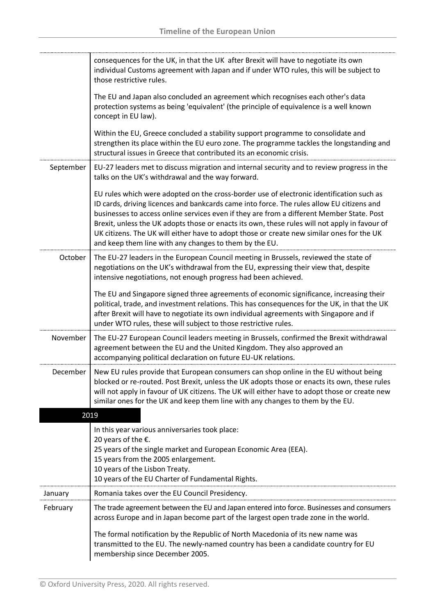|           | consequences for the UK, in that the UK after Brexit will have to negotiate its own<br>individual Customs agreement with Japan and if under WTO rules, this will be subject to<br>those restrictive rules.                                                                                                                                                                                                                                                                                                                                 |
|-----------|--------------------------------------------------------------------------------------------------------------------------------------------------------------------------------------------------------------------------------------------------------------------------------------------------------------------------------------------------------------------------------------------------------------------------------------------------------------------------------------------------------------------------------------------|
|           | The EU and Japan also concluded an agreement which recognises each other's data<br>protection systems as being 'equivalent' (the principle of equivalence is a well known<br>concept in EU law).                                                                                                                                                                                                                                                                                                                                           |
|           | Within the EU, Greece concluded a stability support programme to consolidate and<br>strengthen its place within the EU euro zone. The programme tackles the longstanding and<br>structural issues in Greece that contributed its an economic crisis.                                                                                                                                                                                                                                                                                       |
| September | EU-27 leaders met to discuss migration and internal security and to review progress in the<br>talks on the UK's withdrawal and the way forward.                                                                                                                                                                                                                                                                                                                                                                                            |
|           | EU rules which were adopted on the cross-border use of electronic identification such as<br>ID cards, driving licences and bankcards came into force. The rules allow EU citizens and<br>businesses to access online services even if they are from a different Member State. Post<br>Brexit, unless the UK adopts those or enacts its own, these rules will not apply in favour of<br>UK citizens. The UK will either have to adopt those or create new similar ones for the UK<br>and keep them line with any changes to them by the EU. |
| October   | The EU-27 leaders in the European Council meeting in Brussels, reviewed the state of<br>negotiations on the UK's withdrawal from the EU, expressing their view that, despite<br>intensive negotiations, not enough progress had been achieved.                                                                                                                                                                                                                                                                                             |
|           | The EU and Singapore signed three agreements of economic significance, increasing their<br>political, trade, and investment relations. This has consequences for the UK, in that the UK<br>after Brexit will have to negotiate its own individual agreements with Singapore and if<br>under WTO rules, these will subject to those restrictive rules.                                                                                                                                                                                      |
| November  | The EU-27 European Council leaders meeting in Brussels, confirmed the Brexit withdrawal<br>agreement between the EU and the United Kingdom. They also approved an<br>accompanying political declaration on future EU-UK relations.                                                                                                                                                                                                                                                                                                         |
| December  | New EU rules provide that European consumers can shop online in the EU without being<br>blocked or re-routed. Post Brexit, unless the UK adopts those or enacts its own, these rules<br>will not apply in favour of UK citizens. The UK will either have to adopt those or create new<br>similar ones for the UK and keep them line with any changes to them by the EU.                                                                                                                                                                    |
|           | 2019                                                                                                                                                                                                                                                                                                                                                                                                                                                                                                                                       |
|           | In this year various anniversaries took place:<br>20 years of the €.<br>25 years of the single market and European Economic Area (EEA).<br>15 years from the 2005 enlargement.<br>10 years of the Lisbon Treaty.<br>10 years of the EU Charter of Fundamental Rights.                                                                                                                                                                                                                                                                      |
| January   | Romania takes over the EU Council Presidency.                                                                                                                                                                                                                                                                                                                                                                                                                                                                                              |
| February  | The trade agreement between the EU and Japan entered into force. Businesses and consumers<br>across Europe and in Japan become part of the largest open trade zone in the world.                                                                                                                                                                                                                                                                                                                                                           |
|           | The formal notification by the Republic of North Macedonia of its new name was<br>transmitted to the EU. The newly-named country has been a candidate country for EU<br>membership since December 2005.                                                                                                                                                                                                                                                                                                                                    |